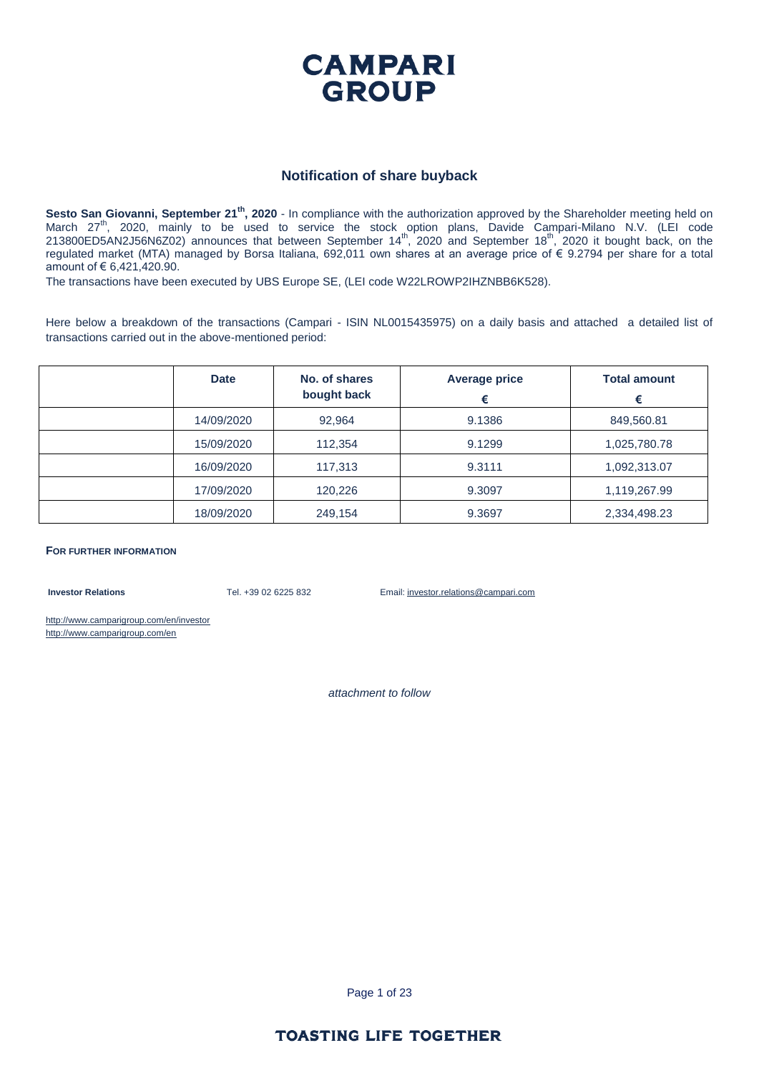

#### **Notification of share buyback**

**Sesto San Giovanni, September 21th, 2020** - In compliance with the authorization approved by the Shareholder meeting held on March 27<sup>th</sup>, 2020, mainly to be used to service the stock option plans, Davide Campari-Milano N.V. (LEI code  $213800ED5AN2J56N6Z02)$  announces that between September  $14<sup>th</sup>$ , 2020 and September  $18<sup>th</sup>$ , 2020 it bought back, on the regulated market (MTA) managed by Borsa Italiana, 692,011 own shares at an average price of € 9.2794 per share for a total amount of € 6,421,420.90.

The transactions have been executed by UBS Europe SE, (LEI code W22LROWP2IHZNBB6K528).

Here below a breakdown of the transactions (Campari - ISIN NL0015435975) on a daily basis and attached a detailed list of transactions carried out in the above-mentioned period:

| <b>Date</b> | No. of shares<br>bought back | <b>Average price</b><br>€ | <b>Total amount</b><br>€ |
|-------------|------------------------------|---------------------------|--------------------------|
| 14/09/2020  | 92,964                       | 9.1386                    | 849,560.81               |
| 15/09/2020  | 112,354                      | 9.1299                    | 1,025,780.78             |
| 16/09/2020  | 117,313                      | 9.3111                    | 1,092,313.07             |
| 17/09/2020  | 120,226                      | 9.3097                    | 1,119,267.99             |
| 18/09/2020  | 249,154                      | 9.3697                    | 2,334,498.23             |

**FOR FURTHER INFORMATION**

**Investor Relations** Tel. +39 02 6225 832 Email: investor.relations@campari.com

http://www.camparigroup.com/en/investor http://www.camparigroup.com/en

*attachment to follow*

Page 1 of 23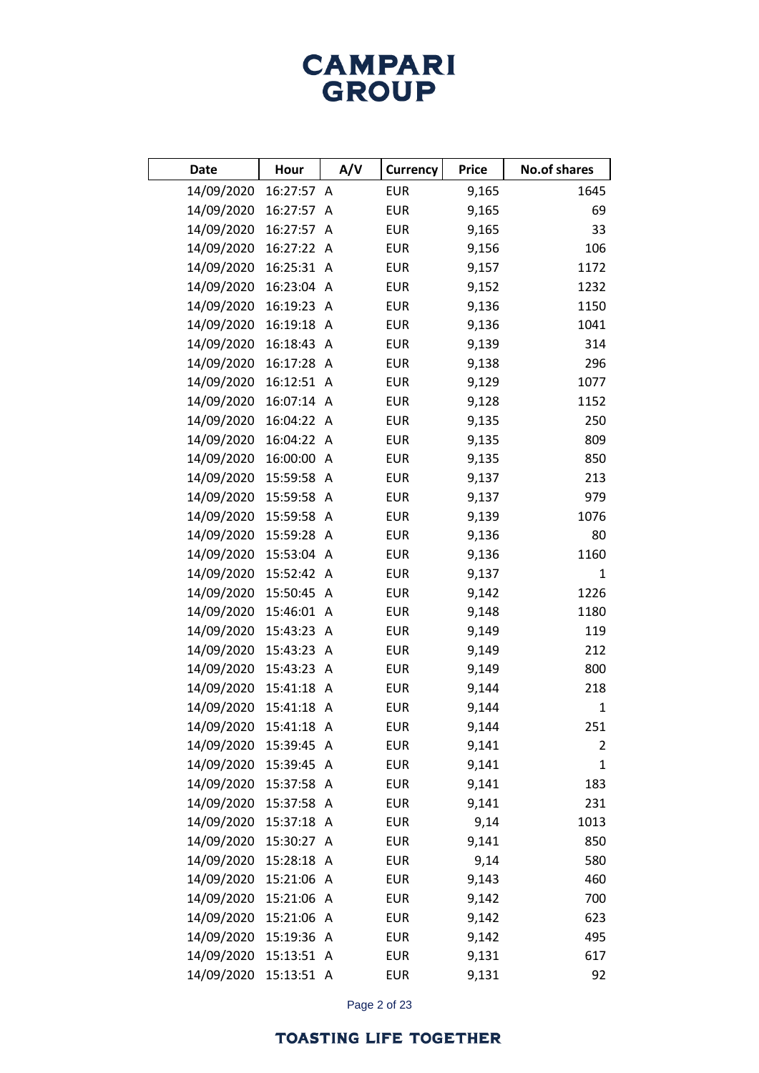| Date                  | Hour       | A/V            | Currency   | <b>Price</b> | <b>No.of shares</b> |
|-----------------------|------------|----------------|------------|--------------|---------------------|
| 14/09/2020            | 16:27:57 A |                | <b>EUR</b> | 9,165        | 1645                |
| 14/09/2020            | 16:27:57   | A              | <b>EUR</b> | 9,165        | 69                  |
| 14/09/2020            | 16:27:57   | A              | <b>EUR</b> | 9,165        | 33                  |
| 14/09/2020            | 16:27:22   | A              | <b>EUR</b> | 9,156        | 106                 |
| 14/09/2020            | 16:25:31   | A              | <b>EUR</b> | 9,157        | 1172                |
| 14/09/2020            | 16:23:04   | $\overline{A}$ | <b>EUR</b> | 9,152        | 1232                |
| 14/09/2020            | 16:19:23   | $\mathsf{A}$   | <b>EUR</b> | 9,136        | 1150                |
| 14/09/2020            | 16:19:18   | $\mathsf{A}$   | <b>EUR</b> | 9,136        | 1041                |
| 14/09/2020            | 16:18:43 A |                | <b>EUR</b> | 9,139        | 314                 |
| 14/09/2020            | 16:17:28 A |                | <b>EUR</b> | 9,138        | 296                 |
| 14/09/2020            | 16:12:51   | A              | <b>EUR</b> | 9,129        | 1077                |
| 14/09/2020            | 16:07:14   | A              | <b>EUR</b> | 9,128        | 1152                |
| 14/09/2020            | 16:04:22   | A              | <b>EUR</b> | 9,135        | 250                 |
| 14/09/2020            | 16:04:22   | A              | <b>EUR</b> | 9,135        | 809                 |
| 14/09/2020            | 16:00:00   | A              | <b>EUR</b> | 9,135        | 850                 |
| 14/09/2020            | 15:59:58   | $\mathsf{A}$   | <b>EUR</b> | 9,137        | 213                 |
| 14/09/2020            | 15:59:58 A |                | <b>EUR</b> | 9,137        | 979                 |
| 14/09/2020            | 15:59:58   | $\mathsf{A}$   | <b>EUR</b> | 9,139        | 1076                |
| 14/09/2020            | 15:59:28   | $\mathsf{A}$   | <b>EUR</b> | 9,136        | 80                  |
| 14/09/2020            | 15:53:04   | $\mathsf{A}$   | <b>EUR</b> | 9,136        | 1160                |
| 14/09/2020            | 15:52:42   | $\mathsf{A}$   | <b>EUR</b> | 9,137        | $\mathbf{1}$        |
| 14/09/2020            | 15:50:45   | A              | <b>EUR</b> | 9,142        | 1226                |
| 14/09/2020            | 15:46:01   | $\mathsf{A}$   | <b>EUR</b> | 9,148        | 1180                |
| 14/09/2020            | 15:43:23   | A              | <b>EUR</b> | 9,149        | 119                 |
| 14/09/2020            | 15:43:23   | $\mathsf{A}$   | <b>EUR</b> | 9,149        | 212                 |
| 14/09/2020            | 15:43:23   | A              | <b>EUR</b> | 9,149        | 800                 |
| 14/09/2020            | 15:41:18   | A              | <b>EUR</b> | 9,144        | 218                 |
| 14/09/2020            | 15:41:18 A |                | <b>EUR</b> | 9,144        | $\mathbf{1}$        |
| 14/09/2020 15:41:18 A |            |                | <b>EUR</b> | 9,144        | 251                 |
| 14/09/2020 15:39:45 A |            |                | <b>EUR</b> | 9,141        | 2                   |
| 14/09/2020 15:39:45 A |            |                | <b>EUR</b> | 9,141        | $\mathbf{1}$        |
| 14/09/2020 15:37:58 A |            |                | <b>EUR</b> | 9,141        | 183                 |
| 14/09/2020 15:37:58 A |            |                | <b>EUR</b> | 9,141        | 231                 |
| 14/09/2020            | 15:37:18 A |                | <b>EUR</b> | 9,14         | 1013                |
| 14/09/2020            | 15:30:27 A |                | <b>EUR</b> | 9,141        | 850                 |
| 14/09/2020            | 15:28:18 A |                | <b>EUR</b> | 9,14         | 580                 |
| 14/09/2020            | 15:21:06 A |                | <b>EUR</b> | 9,143        | 460                 |
| 14/09/2020            | 15:21:06 A |                | <b>EUR</b> | 9,142        | 700                 |
| 14/09/2020            | 15:21:06 A |                | <b>EUR</b> | 9,142        | 623                 |
| 14/09/2020            | 15:19:36 A |                | <b>EUR</b> | 9,142        | 495                 |
| 14/09/2020 15:13:51 A |            |                | <b>EUR</b> | 9,131        | 617                 |
| 14/09/2020            | 15:13:51 A |                | <b>EUR</b> | 9,131        | 92                  |

Page 2 of 23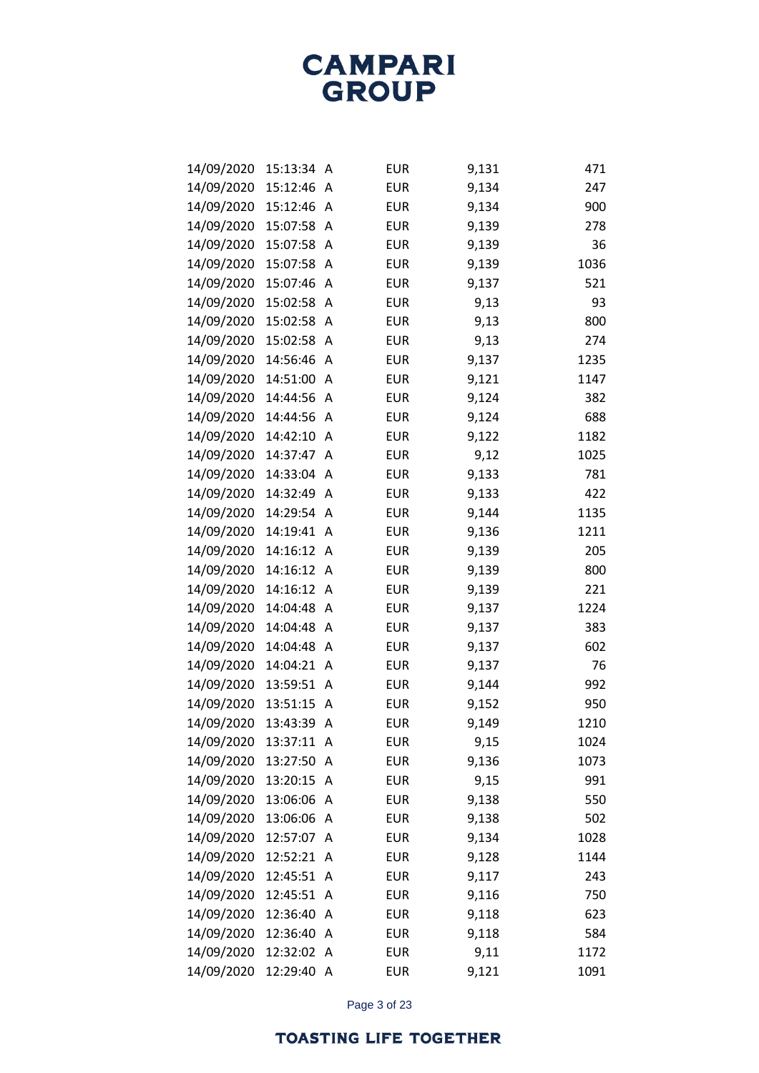| 14/09/2020 | 15:13:34 | Α            | <b>EUR</b> | 9,131 | 471  |
|------------|----------|--------------|------------|-------|------|
| 14/09/2020 | 15:12:46 | A            | <b>EUR</b> | 9,134 | 247  |
| 14/09/2020 | 15:12:46 | Α            | <b>EUR</b> | 9,134 | 900  |
| 14/09/2020 | 15:07:58 | Α            | <b>EUR</b> | 9,139 | 278  |
| 14/09/2020 | 15:07:58 | A            | <b>EUR</b> | 9,139 | 36   |
| 14/09/2020 | 15:07:58 | A            | <b>EUR</b> | 9,139 | 1036 |
| 14/09/2020 | 15:07:46 | A            | <b>EUR</b> | 9,137 | 521  |
| 14/09/2020 | 15:02:58 | A            | <b>EUR</b> | 9,13  | 93   |
| 14/09/2020 | 15:02:58 | A            | <b>EUR</b> | 9,13  | 800  |
| 14/09/2020 | 15:02:58 | Α            | <b>EUR</b> | 9,13  | 274  |
| 14/09/2020 | 14:56:46 | Α            | <b>EUR</b> | 9,137 | 1235 |
| 14/09/2020 | 14:51:00 | Α            | <b>EUR</b> | 9,121 | 1147 |
| 14/09/2020 | 14:44:56 | A            | <b>EUR</b> | 9,124 | 382  |
| 14/09/2020 | 14:44:56 | Α            | <b>EUR</b> | 9,124 | 688  |
| 14/09/2020 | 14:42:10 | A            | <b>EUR</b> | 9,122 | 1182 |
| 14/09/2020 | 14:37:47 | A            | <b>EUR</b> | 9,12  | 1025 |
| 14/09/2020 | 14:33:04 | A            | <b>EUR</b> | 9,133 | 781  |
| 14/09/2020 | 14:32:49 | Α            | <b>EUR</b> | 9,133 | 422  |
| 14/09/2020 | 14:29:54 | A            | <b>EUR</b> | 9,144 | 1135 |
| 14/09/2020 | 14:19:41 | Α            | <b>EUR</b> | 9,136 | 1211 |
| 14/09/2020 | 14:16:12 | A            | <b>EUR</b> | 9,139 | 205  |
| 14/09/2020 | 14:16:12 | Α            | <b>EUR</b> | 9,139 | 800  |
| 14/09/2020 | 14:16:12 | Α            | <b>EUR</b> | 9,139 | 221  |
| 14/09/2020 | 14:04:48 | Α            | <b>EUR</b> | 9,137 | 1224 |
| 14/09/2020 | 14:04:48 | A            | <b>EUR</b> | 9,137 | 383  |
| 14/09/2020 | 14:04:48 | Α            | <b>EUR</b> | 9,137 | 602  |
| 14/09/2020 | 14:04:21 | Α            | <b>EUR</b> | 9,137 | 76   |
| 14/09/2020 | 13:59:51 | Α            | <b>EUR</b> | 9,144 | 992  |
| 14/09/2020 | 13:51:15 | A            | <b>EUR</b> | 9,152 | 950  |
| 14/09/2020 | 13:43:39 | Α            | <b>EUR</b> | 9,149 | 1210 |
| 14/09/2020 | 13:37:11 | A            | <b>EUR</b> | 9,15  | 1024 |
| 14/09/2020 | 13:27:50 | A            | <b>EUR</b> | 9,136 | 1073 |
| 14/09/2020 | 13:20:15 | A            | <b>EUR</b> | 9,15  | 991  |
| 14/09/2020 | 13:06:06 | A            | <b>EUR</b> | 9,138 | 550  |
| 14/09/2020 | 13:06:06 | A            | <b>EUR</b> | 9,138 | 502  |
| 14/09/2020 | 12:57:07 | A            | <b>EUR</b> | 9,134 | 1028 |
| 14/09/2020 | 12:52:21 | A            | <b>EUR</b> | 9,128 | 1144 |
| 14/09/2020 | 12:45:51 | Α            | <b>EUR</b> | 9,117 | 243  |
| 14/09/2020 | 12:45:51 | A            | <b>EUR</b> | 9,116 | 750  |
| 14/09/2020 | 12:36:40 | A            | <b>EUR</b> | 9,118 | 623  |
| 14/09/2020 | 12:36:40 | A            | <b>EUR</b> | 9,118 | 584  |
| 14/09/2020 | 12:32:02 | A            | <b>EUR</b> | 9,11  | 1172 |
| 14/09/2020 | 12:29:40 | $\mathsf{A}$ | <b>EUR</b> | 9,121 | 1091 |

Page 3 of 23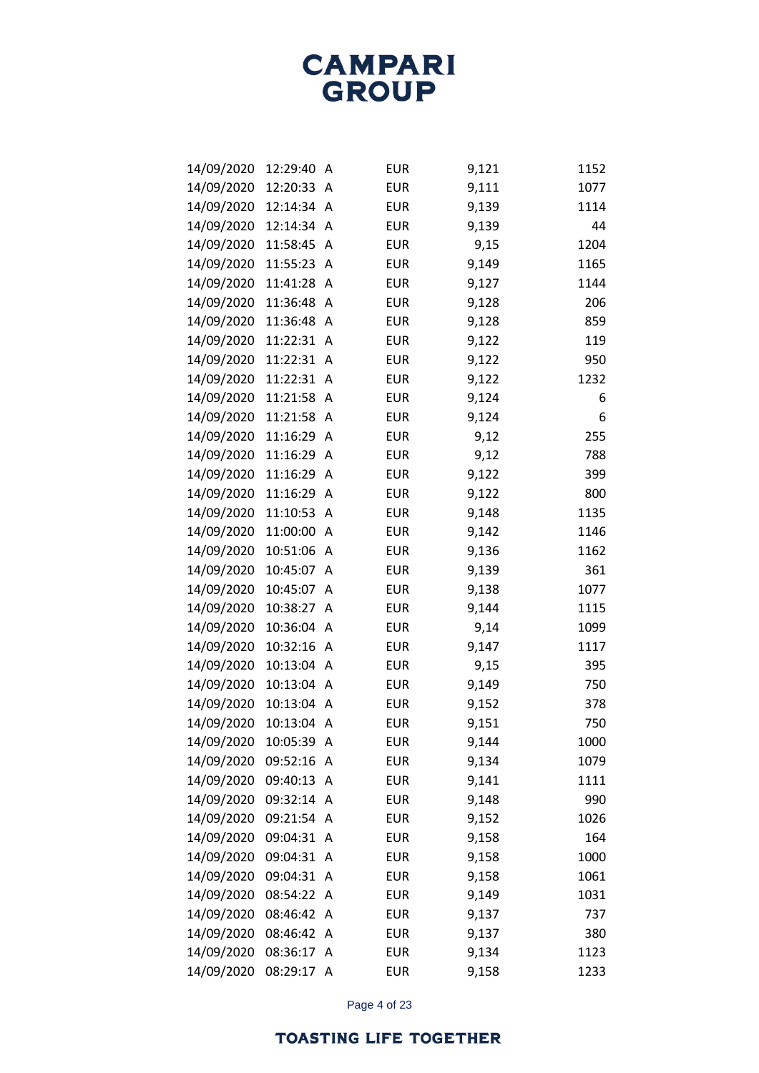| 14/09/2020 | 12:29:40   | A | <b>EUR</b> | 9,121 | 1152 |
|------------|------------|---|------------|-------|------|
| 14/09/2020 | 12:20:33   | A | <b>EUR</b> | 9,111 | 1077 |
| 14/09/2020 | 12:14:34   | A | <b>EUR</b> | 9,139 | 1114 |
| 14/09/2020 | 12:14:34   | A | <b>EUR</b> | 9,139 | 44   |
| 14/09/2020 | 11:58:45   | A | <b>EUR</b> | 9,15  | 1204 |
| 14/09/2020 | 11:55:23   | A | <b>EUR</b> | 9,149 | 1165 |
| 14/09/2020 | 11:41:28   | A | <b>EUR</b> | 9,127 | 1144 |
| 14/09/2020 | 11:36:48   | A | <b>EUR</b> | 9,128 | 206  |
| 14/09/2020 | 11:36:48   | A | <b>EUR</b> | 9,128 | 859  |
| 14/09/2020 | 11:22:31   | Α | <b>EUR</b> | 9,122 | 119  |
| 14/09/2020 | 11:22:31   | A | <b>EUR</b> | 9,122 | 950  |
| 14/09/2020 | 11:22:31   | A | <b>EUR</b> | 9,122 | 1232 |
| 14/09/2020 | 11:21:58   | A | <b>EUR</b> | 9,124 | 6    |
| 14/09/2020 | 11:21:58   | Α | <b>EUR</b> | 9,124 | 6    |
| 14/09/2020 | 11:16:29   | A | <b>EUR</b> | 9,12  | 255  |
| 14/09/2020 | 11:16:29   | A | <b>EUR</b> | 9,12  | 788  |
| 14/09/2020 | 11:16:29   | A | <b>EUR</b> | 9,122 | 399  |
| 14/09/2020 | 11:16:29   | Α | <b>EUR</b> | 9,122 | 800  |
| 14/09/2020 | 11:10:53   | Α | <b>EUR</b> | 9,148 | 1135 |
| 14/09/2020 | 11:00:00   | A | <b>EUR</b> | 9,142 | 1146 |
| 14/09/2020 | 10:51:06   | A | <b>EUR</b> | 9,136 | 1162 |
| 14/09/2020 | 10:45:07   | Α | <b>EUR</b> | 9,139 | 361  |
| 14/09/2020 | 10:45:07   | Α | <b>EUR</b> | 9,138 | 1077 |
| 14/09/2020 | 10:38:27   | A | <b>EUR</b> | 9,144 | 1115 |
| 14/09/2020 | 10:36:04   | A | <b>EUR</b> | 9,14  | 1099 |
| 14/09/2020 | 10:32:16   | A | <b>EUR</b> | 9,147 | 1117 |
| 14/09/2020 | 10:13:04   | A | <b>EUR</b> | 9,15  | 395  |
| 14/09/2020 | 10:13:04   | A | <b>EUR</b> | 9,149 | 750  |
| 14/09/2020 | 10:13:04   | A | <b>EUR</b> | 9,152 | 378  |
| 14/09/2020 | 10:13:04   | A | <b>EUR</b> | 9,151 | 750  |
| 14/09/2020 | 10:05:39   | A | <b>EUR</b> | 9,144 | 1000 |
| 14/09/2020 | 09:52:16   | A | <b>EUR</b> | 9,134 | 1079 |
| 14/09/2020 | 09:40:13   | A | <b>EUR</b> | 9,141 | 1111 |
| 14/09/2020 | 09:32:14   | A | <b>EUR</b> | 9,148 | 990  |
| 14/09/2020 | 09:21:54   | A | <b>EUR</b> | 9,152 | 1026 |
| 14/09/2020 | 09:04:31   | A | <b>EUR</b> | 9,158 | 164  |
| 14/09/2020 | 09:04:31   | A | <b>EUR</b> | 9,158 | 1000 |
| 14/09/2020 | 09:04:31   | Α | <b>EUR</b> | 9,158 | 1061 |
| 14/09/2020 | 08:54:22   | A | <b>EUR</b> | 9,149 | 1031 |
| 14/09/2020 | 08:46:42   | Α | <b>EUR</b> | 9,137 | 737  |
| 14/09/2020 | 08:46:42   | Α | <b>EUR</b> | 9,137 | 380  |
| 14/09/2020 | 08:36:17   | A | <b>EUR</b> | 9,134 | 1123 |
| 14/09/2020 | 08:29:17 A |   | <b>EUR</b> | 9,158 | 1233 |

Page 4 of 23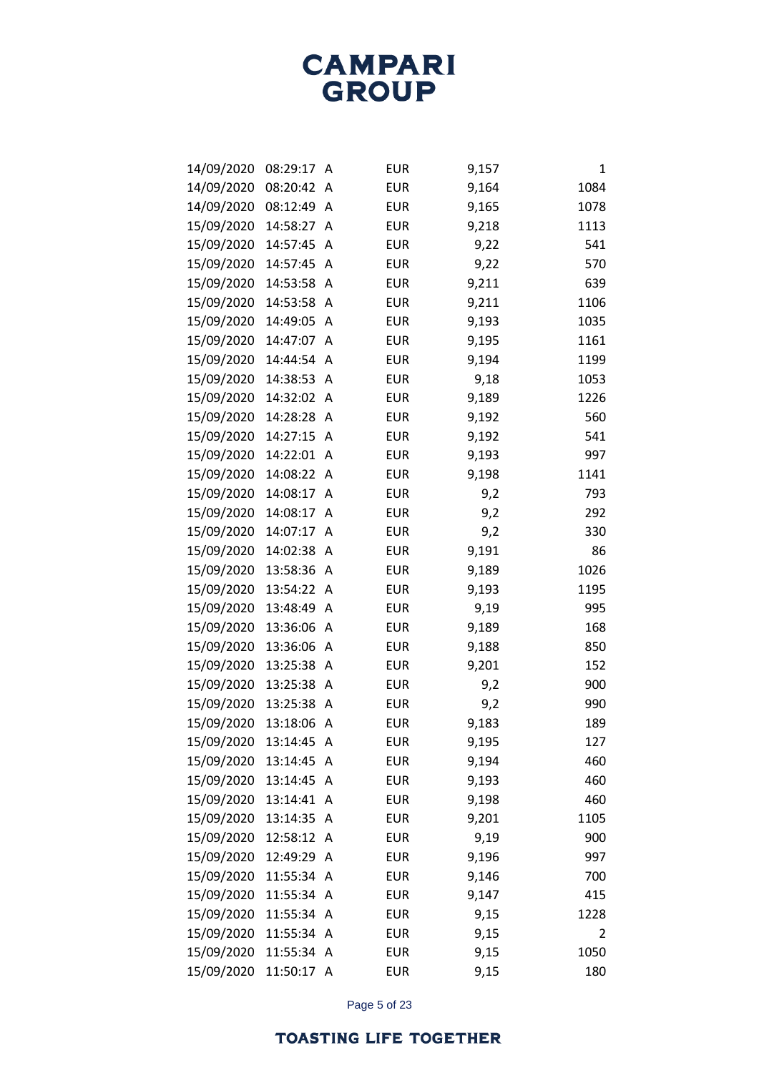| 14/09/2020 | 08:29:17   | А | <b>EUR</b> | 9,157 | 1    |
|------------|------------|---|------------|-------|------|
| 14/09/2020 | 08:20:42   | Α | <b>EUR</b> | 9,164 | 1084 |
| 14/09/2020 | 08:12:49   | A | <b>EUR</b> | 9,165 | 1078 |
| 15/09/2020 | 14:58:27   | A | <b>EUR</b> | 9,218 | 1113 |
| 15/09/2020 | 14:57:45   | A | <b>EUR</b> | 9,22  | 541  |
| 15/09/2020 | 14:57:45   | A | <b>EUR</b> | 9,22  | 570  |
| 15/09/2020 | 14:53:58   | Α | <b>EUR</b> | 9,211 | 639  |
| 15/09/2020 | 14:53:58   | Α | <b>EUR</b> | 9,211 | 1106 |
| 15/09/2020 | 14:49:05   | A | <b>EUR</b> | 9,193 | 1035 |
| 15/09/2020 | 14:47:07   | A | <b>EUR</b> | 9,195 | 1161 |
| 15/09/2020 | 14:44:54   | Α | <b>EUR</b> | 9,194 | 1199 |
| 15/09/2020 | 14:38:53   | Α | <b>EUR</b> | 9,18  | 1053 |
| 15/09/2020 | 14:32:02   | A | <b>EUR</b> | 9,189 | 1226 |
| 15/09/2020 | 14:28:28   | A | <b>EUR</b> | 9,192 | 560  |
| 15/09/2020 | 14:27:15   | Α | <b>EUR</b> | 9,192 | 541  |
| 15/09/2020 | 14:22:01   | Α | <b>EUR</b> | 9,193 | 997  |
| 15/09/2020 | 14:08:22   | A | <b>EUR</b> | 9,198 | 1141 |
| 15/09/2020 | 14:08:17   | Α | <b>EUR</b> | 9,2   | 793  |
| 15/09/2020 | 14:08:17   | A | <b>EUR</b> | 9,2   | 292  |
| 15/09/2020 | 14:07:17   | A | <b>EUR</b> | 9,2   | 330  |
| 15/09/2020 | 14:02:38   | A | <b>EUR</b> | 9,191 | 86   |
| 15/09/2020 | 13:58:36   | Α | <b>EUR</b> | 9,189 | 1026 |
| 15/09/2020 | 13:54:22   | Α | <b>EUR</b> | 9,193 | 1195 |
| 15/09/2020 | 13:48:49   | Α | <b>EUR</b> | 9,19  | 995  |
| 15/09/2020 | 13:36:06   | A | <b>EUR</b> | 9,189 | 168  |
| 15/09/2020 | 13:36:06   | Α | <b>EUR</b> | 9,188 | 850  |
| 15/09/2020 | 13:25:38   | Α | <b>EUR</b> | 9,201 | 152  |
| 15/09/2020 | 13:25:38   | Α | <b>EUR</b> | 9,2   | 900  |
| 15/09/2020 | 13:25:38   | A | <b>EUR</b> | 9,2   | 990  |
| 15/09/2020 | 13:18:06   | Α | <b>EUR</b> | 9,183 | 189  |
| 15/09/2020 | 13:14:45   | A | <b>EUR</b> | 9,195 | 127  |
| 15/09/2020 | 13:14:45   | Α | <b>EUR</b> | 9,194 | 460  |
| 15/09/2020 | 13:14:45   | A | <b>EUR</b> | 9,193 | 460  |
| 15/09/2020 | 13:14:41   | Α | <b>EUR</b> | 9,198 | 460  |
| 15/09/2020 | 13:14:35   | A | <b>EUR</b> | 9,201 | 1105 |
| 15/09/2020 | 12:58:12   | A | <b>EUR</b> | 9,19  | 900  |
| 15/09/2020 | 12:49:29   | A | <b>EUR</b> | 9,196 | 997  |
| 15/09/2020 | 11:55:34   | A | <b>EUR</b> | 9,146 | 700  |
| 15/09/2020 | 11:55:34   | A | <b>EUR</b> | 9,147 | 415  |
| 15/09/2020 | 11:55:34   | A | <b>EUR</b> | 9,15  | 1228 |
| 15/09/2020 | 11:55:34   | A | <b>EUR</b> | 9,15  | 2    |
| 15/09/2020 | 11:55:34   | A | <b>EUR</b> | 9,15  | 1050 |
| 15/09/2020 | 11:50:17 A |   | <b>EUR</b> | 9,15  | 180  |

Page 5 of 23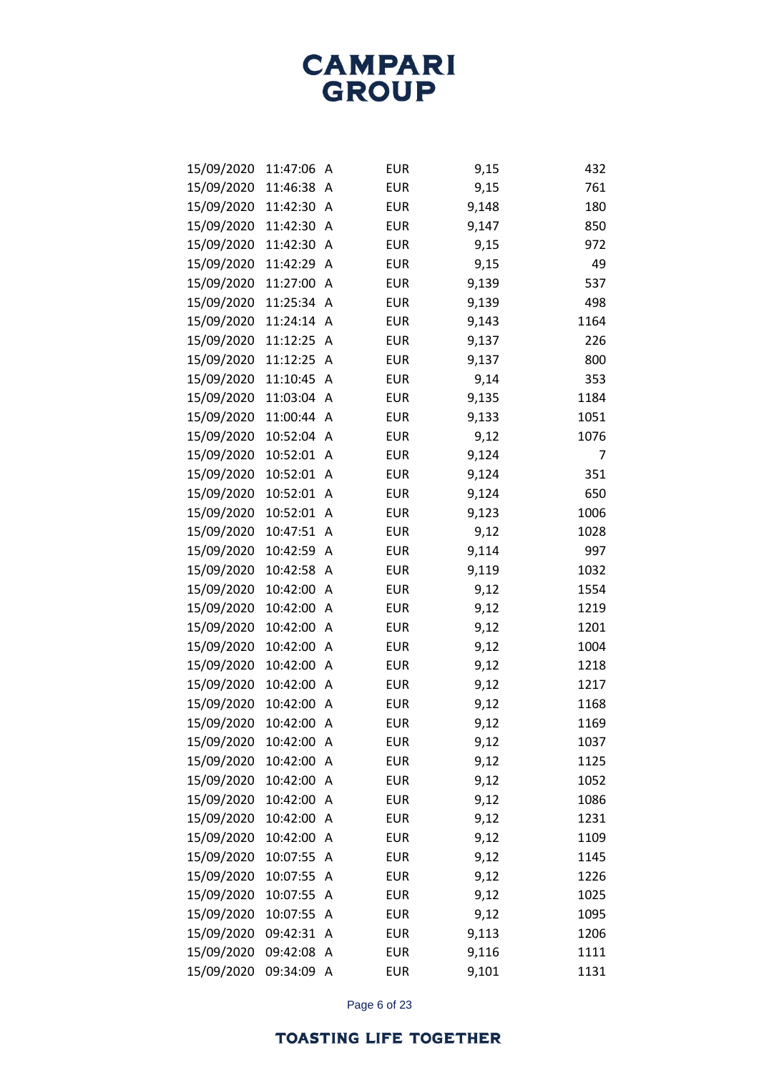| 15/09/2020 | 11:47:06 | A | <b>EUR</b> | 9,15  | 432  |
|------------|----------|---|------------|-------|------|
| 15/09/2020 | 11:46:38 | A | <b>EUR</b> | 9,15  | 761  |
| 15/09/2020 | 11:42:30 | Α | <b>EUR</b> | 9,148 | 180  |
| 15/09/2020 | 11:42:30 | A | <b>EUR</b> | 9,147 | 850  |
| 15/09/2020 | 11:42:30 | A | <b>EUR</b> | 9,15  | 972  |
| 15/09/2020 | 11:42:29 | A | <b>EUR</b> | 9,15  | 49   |
| 15/09/2020 | 11:27:00 | A | <b>EUR</b> | 9,139 | 537  |
| 15/09/2020 | 11:25:34 | A | <b>EUR</b> | 9,139 | 498  |
| 15/09/2020 | 11:24:14 | A | <b>EUR</b> | 9,143 | 1164 |
| 15/09/2020 | 11:12:25 | A | <b>EUR</b> | 9,137 | 226  |
| 15/09/2020 | 11:12:25 | A | <b>EUR</b> | 9,137 | 800  |
| 15/09/2020 | 11:10:45 | A | <b>EUR</b> | 9,14  | 353  |
| 15/09/2020 | 11:03:04 | A | <b>EUR</b> | 9,135 | 1184 |
| 15/09/2020 | 11:00:44 | A | <b>EUR</b> | 9,133 | 1051 |
| 15/09/2020 | 10:52:04 | A | <b>EUR</b> | 9,12  | 1076 |
| 15/09/2020 | 10:52:01 | A | <b>EUR</b> | 9,124 | 7    |
| 15/09/2020 | 10:52:01 | A | <b>EUR</b> | 9,124 | 351  |
| 15/09/2020 | 10:52:01 | A | <b>EUR</b> | 9,124 | 650  |
| 15/09/2020 | 10:52:01 | A | <b>EUR</b> | 9,123 | 1006 |
| 15/09/2020 | 10:47:51 | A | <b>EUR</b> | 9,12  | 1028 |
| 15/09/2020 | 10:42:59 | A | <b>EUR</b> | 9,114 | 997  |
| 15/09/2020 | 10:42:58 | A | <b>EUR</b> | 9,119 | 1032 |
| 15/09/2020 | 10:42:00 | A | <b>EUR</b> | 9,12  | 1554 |
| 15/09/2020 | 10:42:00 | A | <b>EUR</b> | 9,12  | 1219 |
| 15/09/2020 | 10:42:00 | A | <b>EUR</b> | 9,12  | 1201 |
| 15/09/2020 | 10:42:00 | A | <b>EUR</b> | 9,12  | 1004 |
| 15/09/2020 | 10:42:00 | A | <b>EUR</b> | 9,12  | 1218 |
| 15/09/2020 | 10:42:00 | A | <b>EUR</b> | 9,12  | 1217 |
| 15/09/2020 | 10:42:00 | A | <b>EUR</b> | 9,12  | 1168 |
| 15/09/2020 | 10:42:00 | A | <b>EUR</b> | 9,12  | 1169 |
| 15/09/2020 | 10:42:00 | A | <b>EUR</b> | 9,12  | 1037 |
| 15/09/2020 | 10:42:00 | A | <b>EUR</b> | 9,12  | 1125 |
| 15/09/2020 | 10:42:00 | A | <b>EUR</b> | 9,12  | 1052 |
| 15/09/2020 | 10:42:00 | A | <b>EUR</b> | 9,12  | 1086 |
| 15/09/2020 | 10:42:00 | A | <b>EUR</b> | 9,12  | 1231 |
| 15/09/2020 | 10:42:00 | A | <b>EUR</b> | 9,12  | 1109 |
| 15/09/2020 | 10:07:55 | Α | <b>EUR</b> | 9,12  | 1145 |
| 15/09/2020 | 10:07:55 | A | <b>EUR</b> | 9,12  | 1226 |
| 15/09/2020 | 10:07:55 | A | <b>EUR</b> | 9,12  | 1025 |
| 15/09/2020 | 10:07:55 | A | <b>EUR</b> | 9,12  | 1095 |
| 15/09/2020 | 09:42:31 | Α | <b>EUR</b> | 9,113 | 1206 |
| 15/09/2020 | 09:42:08 | A | <b>EUR</b> | 9,116 | 1111 |
| 15/09/2020 | 09:34:09 | A | <b>EUR</b> | 9,101 | 1131 |

Page 6 of 23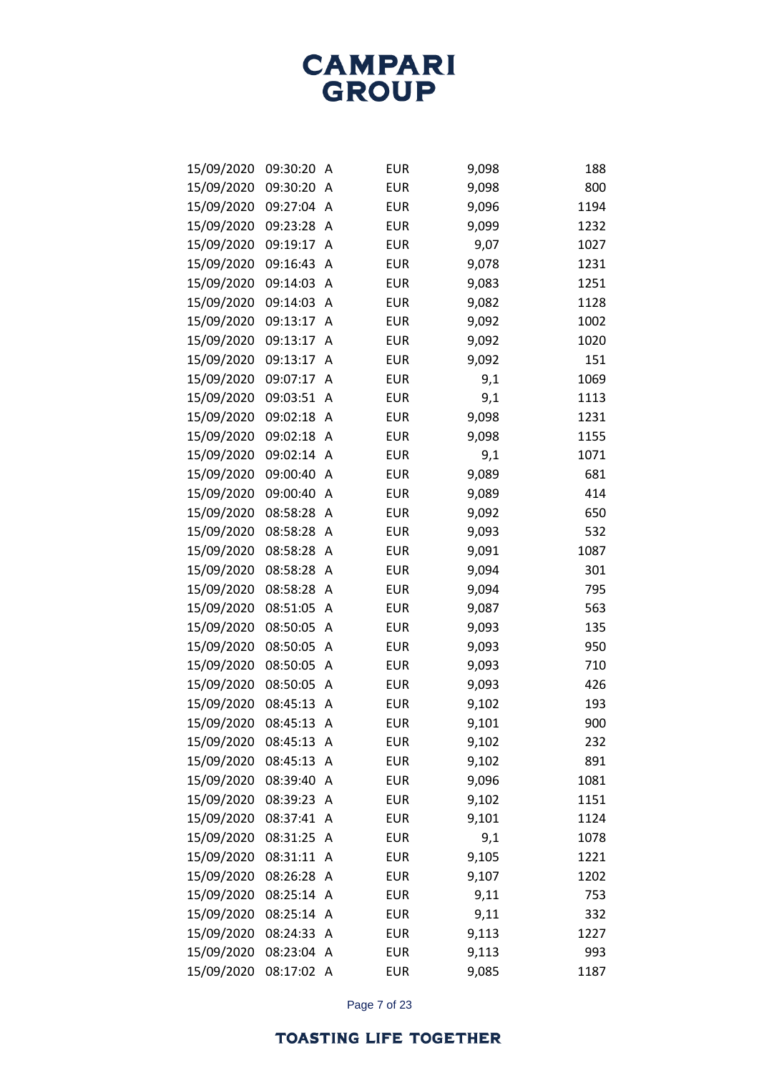| 15/09/2020 | 09:30:20 | Α | <b>EUR</b> | 9,098 | 188  |
|------------|----------|---|------------|-------|------|
| 15/09/2020 | 09:30:20 | Α | <b>EUR</b> | 9,098 | 800  |
| 15/09/2020 | 09:27:04 | Α | <b>EUR</b> | 9,096 | 1194 |
| 15/09/2020 | 09:23:28 | Α | <b>EUR</b> | 9,099 | 1232 |
| 15/09/2020 | 09:19:17 | А | <b>EUR</b> | 9,07  | 1027 |
| 15/09/2020 | 09:16:43 | A | <b>EUR</b> | 9,078 | 1231 |
| 15/09/2020 | 09:14:03 | Α | <b>EUR</b> | 9,083 | 1251 |
| 15/09/2020 | 09:14:03 | Α | <b>EUR</b> | 9,082 | 1128 |
| 15/09/2020 | 09:13:17 | A | <b>EUR</b> | 9,092 | 1002 |
| 15/09/2020 | 09:13:17 | Α | <b>EUR</b> | 9,092 | 1020 |
| 15/09/2020 | 09:13:17 | Α | <b>EUR</b> | 9,092 | 151  |
| 15/09/2020 | 09:07:17 | Α | <b>EUR</b> | 9,1   | 1069 |
| 15/09/2020 | 09:03:51 | Α | <b>EUR</b> | 9,1   | 1113 |
| 15/09/2020 | 09:02:18 | Α | <b>EUR</b> | 9,098 | 1231 |
| 15/09/2020 | 09:02:18 | Α | <b>EUR</b> | 9,098 | 1155 |
| 15/09/2020 | 09:02:14 | Α | <b>EUR</b> | 9,1   | 1071 |
| 15/09/2020 | 09:00:40 | A | <b>EUR</b> | 9,089 | 681  |
| 15/09/2020 | 09:00:40 | Α | <b>EUR</b> | 9,089 | 414  |
| 15/09/2020 | 08:58:28 | Α | <b>EUR</b> | 9,092 | 650  |
| 15/09/2020 | 08:58:28 | Α | <b>EUR</b> | 9,093 | 532  |
| 15/09/2020 | 08:58:28 | A | <b>EUR</b> | 9,091 | 1087 |
| 15/09/2020 | 08:58:28 | Α | <b>EUR</b> | 9,094 | 301  |
| 15/09/2020 | 08:58:28 | Α | <b>EUR</b> | 9,094 | 795  |
| 15/09/2020 | 08:51:05 | Α | <b>EUR</b> | 9,087 | 563  |
| 15/09/2020 | 08:50:05 | Α | <b>EUR</b> | 9,093 | 135  |
| 15/09/2020 | 08:50:05 | Α | <b>EUR</b> | 9,093 | 950  |
| 15/09/2020 | 08:50:05 | Α | <b>EUR</b> | 9,093 | 710  |
| 15/09/2020 | 08:50:05 | Α | <b>EUR</b> | 9,093 | 426  |
| 15/09/2020 | 08:45:13 | A | <b>EUR</b> | 9,102 | 193  |
| 15/09/2020 | 08:45:13 | Α | <b>EUR</b> | 9,101 | 900  |
| 15/09/2020 | 08:45:13 | A | <b>EUR</b> | 9,102 | 232  |
| 15/09/2020 | 08:45:13 | Α | <b>EUR</b> | 9,102 | 891  |
| 15/09/2020 | 08:39:40 | A | <b>EUR</b> | 9,096 | 1081 |
| 15/09/2020 | 08:39:23 | Α | <b>EUR</b> | 9,102 | 1151 |
| 15/09/2020 | 08:37:41 | A | <b>EUR</b> | 9,101 | 1124 |
| 15/09/2020 | 08:31:25 | A | <b>EUR</b> | 9,1   | 1078 |
| 15/09/2020 | 08:31:11 | A | <b>EUR</b> | 9,105 | 1221 |
| 15/09/2020 | 08:26:28 | A | <b>EUR</b> | 9,107 | 1202 |
| 15/09/2020 | 08:25:14 | A | <b>EUR</b> | 9,11  | 753  |
| 15/09/2020 | 08:25:14 | A | <b>EUR</b> | 9,11  | 332  |
| 15/09/2020 | 08:24:33 | Α | <b>EUR</b> | 9,113 | 1227 |
| 15/09/2020 | 08:23:04 | A | <b>EUR</b> | 9,113 | 993  |
| 15/09/2020 | 08:17:02 | A | <b>EUR</b> | 9,085 | 1187 |

Page 7 of 23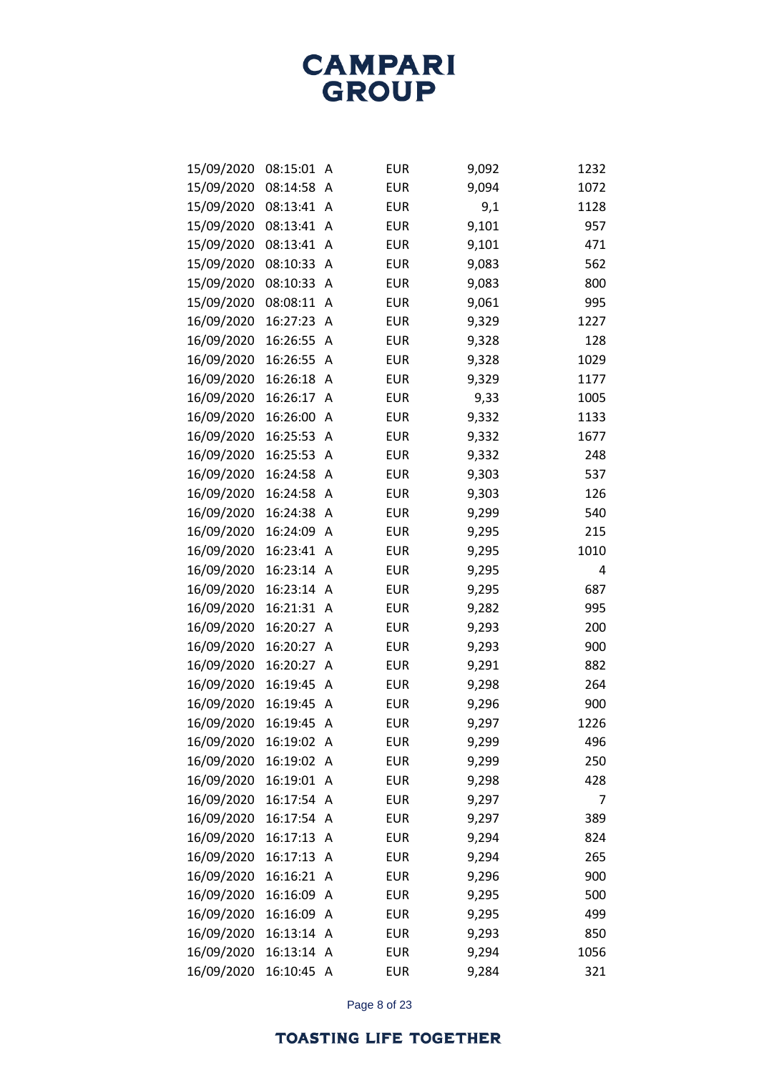| 15/09/2020 | 08:15:01 | Α            | <b>EUR</b> | 9,092 | 1232 |
|------------|----------|--------------|------------|-------|------|
| 15/09/2020 | 08:14:58 | Α            | <b>EUR</b> | 9,094 | 1072 |
| 15/09/2020 | 08:13:41 | Α            | <b>EUR</b> | 9,1   | 1128 |
| 15/09/2020 | 08:13:41 | A            | <b>EUR</b> | 9,101 | 957  |
| 15/09/2020 | 08:13:41 | A            | <b>EUR</b> | 9,101 | 471  |
| 15/09/2020 | 08:10:33 | A            | <b>EUR</b> | 9,083 | 562  |
| 15/09/2020 | 08:10:33 | A            | <b>EUR</b> | 9,083 | 800  |
| 15/09/2020 | 08:08:11 | A            | <b>EUR</b> | 9,061 | 995  |
| 16/09/2020 | 16:27:23 | A            | <b>EUR</b> | 9,329 | 1227 |
| 16/09/2020 | 16:26:55 | A            | <b>EUR</b> | 9,328 | 128  |
| 16/09/2020 | 16:26:55 | A            | <b>EUR</b> | 9,328 | 1029 |
| 16/09/2020 | 16:26:18 | A            | <b>EUR</b> | 9,329 | 1177 |
| 16/09/2020 | 16:26:17 | A            | <b>EUR</b> | 9,33  | 1005 |
| 16/09/2020 | 16:26:00 | A            | <b>EUR</b> | 9,332 | 1133 |
| 16/09/2020 | 16:25:53 | A            | <b>EUR</b> | 9,332 | 1677 |
| 16/09/2020 | 16:25:53 | A            | <b>EUR</b> | 9,332 | 248  |
| 16/09/2020 | 16:24:58 | A            | <b>EUR</b> | 9,303 | 537  |
| 16/09/2020 | 16:24:58 | A            | <b>EUR</b> | 9,303 | 126  |
| 16/09/2020 | 16:24:38 | A            | <b>EUR</b> | 9,299 | 540  |
| 16/09/2020 | 16:24:09 | A            | <b>EUR</b> | 9,295 | 215  |
| 16/09/2020 | 16:23:41 | A            | <b>EUR</b> | 9,295 | 1010 |
| 16/09/2020 | 16:23:14 | A            | <b>EUR</b> | 9,295 | 4    |
| 16/09/2020 | 16:23:14 | Α            | <b>EUR</b> | 9,295 | 687  |
| 16/09/2020 | 16:21:31 | A            | <b>EUR</b> | 9,282 | 995  |
| 16/09/2020 | 16:20:27 | A            | <b>EUR</b> | 9,293 | 200  |
| 16/09/2020 | 16:20:27 | Α            | <b>EUR</b> | 9,293 | 900  |
| 16/09/2020 | 16:20:27 | A            | <b>EUR</b> | 9,291 | 882  |
| 16/09/2020 | 16:19:45 | A            | <b>EUR</b> | 9,298 | 264  |
| 16/09/2020 | 16:19:45 | A            | <b>EUR</b> | 9,296 | 900  |
| 16/09/2020 | 16:19:45 | Α            | <b>EUR</b> | 9,297 | 1226 |
| 16/09/2020 | 16:19:02 | A            | <b>EUR</b> | 9,299 | 496  |
| 16/09/2020 | 16:19:02 | A            | <b>EUR</b> | 9,299 | 250  |
| 16/09/2020 | 16:19:01 | A            | <b>EUR</b> | 9,298 | 428  |
| 16/09/2020 | 16:17:54 | A            | <b>EUR</b> | 9,297 | 7    |
| 16/09/2020 | 16:17:54 | A            | <b>EUR</b> | 9,297 | 389  |
| 16/09/2020 | 16:17:13 | A            | <b>EUR</b> | 9,294 | 824  |
| 16/09/2020 | 16:17:13 | A            | <b>EUR</b> | 9,294 | 265  |
| 16/09/2020 | 16:16:21 | A            | <b>EUR</b> | 9,296 | 900  |
| 16/09/2020 | 16:16:09 | A            | <b>EUR</b> | 9,295 | 500  |
| 16/09/2020 | 16:16:09 | A            | <b>EUR</b> | 9,295 | 499  |
| 16/09/2020 | 16:13:14 | A            | <b>EUR</b> | 9,293 | 850  |
| 16/09/2020 | 16:13:14 | A            | <b>EUR</b> | 9,294 | 1056 |
| 16/09/2020 | 16:10:45 | $\mathsf{A}$ | <b>EUR</b> | 9,284 | 321  |

Page 8 of 23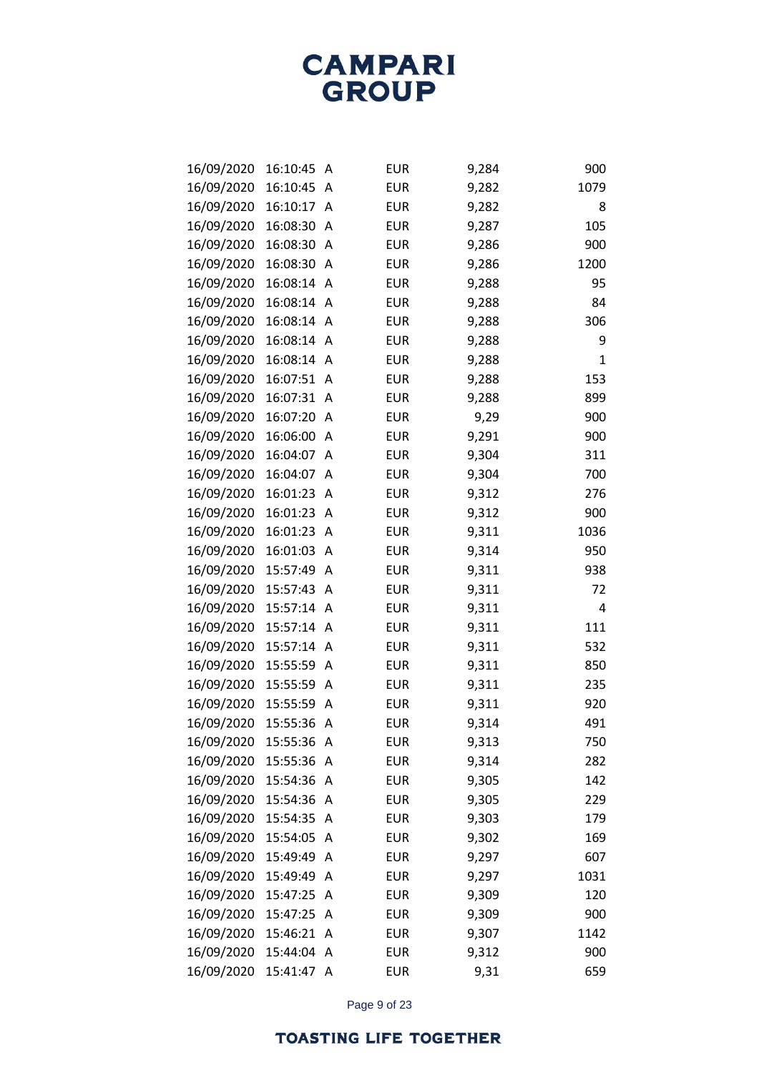| 16/09/2020 | 16:10:45   | Α | <b>EUR</b> | 9,284 | 900  |
|------------|------------|---|------------|-------|------|
| 16/09/2020 | 16:10:45   | A | <b>EUR</b> | 9,282 | 1079 |
| 16/09/2020 | 16:10:17   | A | <b>EUR</b> | 9,282 | 8    |
| 16/09/2020 | 16:08:30   | Α | <b>EUR</b> | 9,287 | 105  |
| 16/09/2020 | 16:08:30   | A | <b>EUR</b> | 9,286 | 900  |
| 16/09/2020 | 16:08:30   | A | <b>EUR</b> | 9,286 | 1200 |
| 16/09/2020 | 16:08:14   | Α | <b>EUR</b> | 9,288 | 95   |
| 16/09/2020 | 16:08:14   | A | <b>EUR</b> | 9,288 | 84   |
| 16/09/2020 | 16:08:14   | A | <b>EUR</b> | 9,288 | 306  |
| 16/09/2020 | 16:08:14   | A | <b>EUR</b> | 9,288 | 9    |
| 16/09/2020 | 16:08:14   | Α | <b>EUR</b> | 9,288 | 1    |
| 16/09/2020 | 16:07:51   | A | <b>EUR</b> | 9,288 | 153  |
| 16/09/2020 | 16:07:31   | A | <b>EUR</b> | 9,288 | 899  |
| 16/09/2020 | 16:07:20   | A | <b>EUR</b> | 9,29  | 900  |
| 16/09/2020 | 16:06:00   | Α | <b>EUR</b> | 9,291 | 900  |
| 16/09/2020 | 16:04:07   | A | <b>EUR</b> | 9,304 | 311  |
| 16/09/2020 | 16:04:07   | A | <b>EUR</b> | 9,304 | 700  |
| 16/09/2020 | 16:01:23   | Α | <b>EUR</b> | 9,312 | 276  |
| 16/09/2020 | 16:01:23   | Α | <b>EUR</b> | 9,312 | 900  |
| 16/09/2020 | 16:01:23   | A | <b>EUR</b> | 9,311 | 1036 |
| 16/09/2020 | 16:01:03   | A | <b>EUR</b> | 9,314 | 950  |
| 16/09/2020 | 15:57:49   | Α | <b>EUR</b> | 9,311 | 938  |
| 16/09/2020 | 15:57:43   | Α | <b>EUR</b> | 9,311 | 72   |
| 16/09/2020 | 15:57:14   | A | <b>EUR</b> | 9,311 | 4    |
| 16/09/2020 | 15:57:14   | A | <b>EUR</b> | 9,311 | 111  |
| 16/09/2020 | 15:57:14   | Α | <b>EUR</b> | 9,311 | 532  |
| 16/09/2020 | 15:55:59   | Α | <b>EUR</b> | 9,311 | 850  |
| 16/09/2020 | 15:55:59   | Α | <b>EUR</b> | 9,311 | 235  |
| 16/09/2020 | 15:55:59   | A | <b>EUR</b> | 9,311 | 920  |
| 16/09/2020 | 15:55:36   | Α | <b>EUR</b> | 9,314 | 491  |
| 16/09/2020 | 15:55:36 A |   | <b>EUR</b> | 9,313 | 750  |
| 16/09/2020 | 15:55:36   | A | <b>EUR</b> | 9,314 | 282  |
| 16/09/2020 | 15:54:36   | A | <b>EUR</b> | 9,305 | 142  |
| 16/09/2020 | 15:54:36   | A | <b>EUR</b> | 9,305 | 229  |
| 16/09/2020 | 15:54:35   | A | <b>EUR</b> | 9,303 | 179  |
| 16/09/2020 | 15:54:05   | Α | <b>EUR</b> | 9,302 | 169  |
| 16/09/2020 | 15:49:49   | A | <b>EUR</b> | 9,297 | 607  |
| 16/09/2020 | 15:49:49   | Α | <b>EUR</b> | 9,297 | 1031 |
| 16/09/2020 | 15:47:25   | A | <b>EUR</b> | 9,309 | 120  |
| 16/09/2020 | 15:47:25   | Α | <b>EUR</b> | 9,309 | 900  |
| 16/09/2020 | 15:46:21   | Α | <b>EUR</b> | 9,307 | 1142 |
| 16/09/2020 | 15:44:04   | Α | <b>EUR</b> | 9,312 | 900  |
| 16/09/2020 | 15:41:47   | Α | <b>EUR</b> | 9,31  | 659  |

Page 9 of 23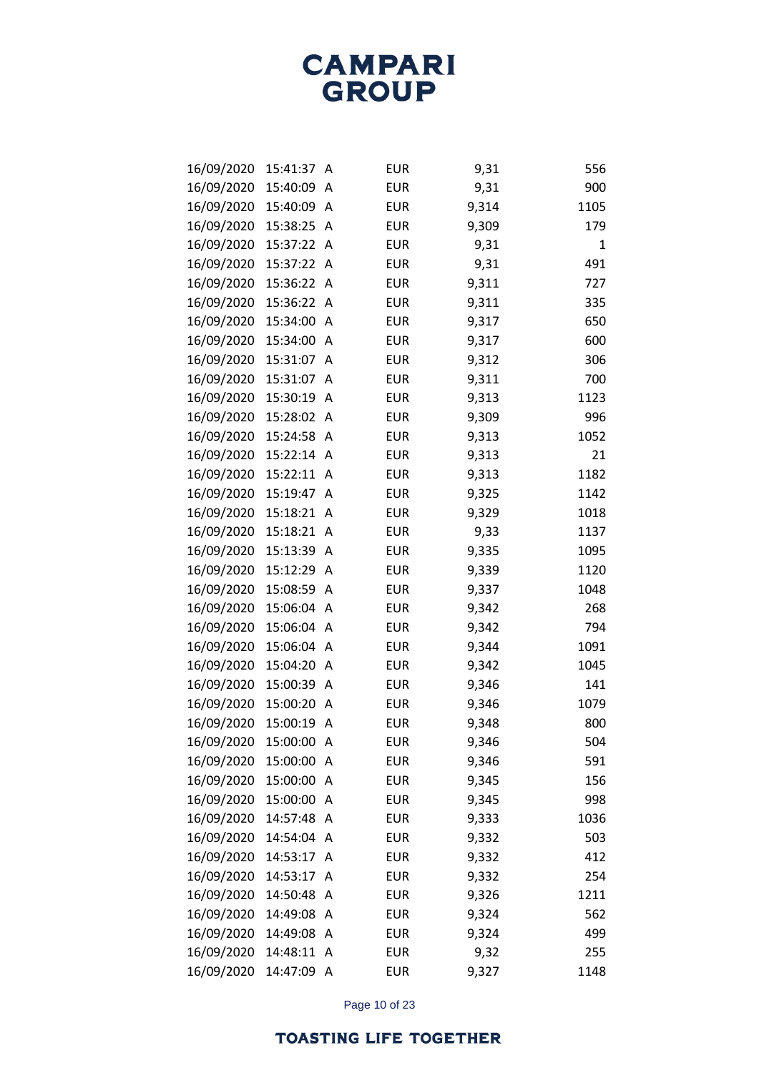| 16/09/2020 | 15:41:37 | A | <b>EUR</b> | 9,31  | 556  |
|------------|----------|---|------------|-------|------|
| 16/09/2020 | 15:40:09 | A | <b>EUR</b> | 9,31  | 900  |
| 16/09/2020 | 15:40:09 | A | <b>EUR</b> | 9,314 | 1105 |
| 16/09/2020 | 15:38:25 | A | <b>EUR</b> | 9,309 | 179  |
| 16/09/2020 | 15:37:22 | A | <b>EUR</b> | 9,31  | 1    |
| 16/09/2020 | 15:37:22 | A | <b>EUR</b> | 9,31  | 491  |
| 16/09/2020 | 15:36:22 | Α | <b>EUR</b> | 9,311 | 727  |
| 16/09/2020 | 15:36:22 | Α | <b>EUR</b> | 9,311 | 335  |
| 16/09/2020 | 15:34:00 | A | <b>EUR</b> | 9,317 | 650  |
| 16/09/2020 | 15:34:00 | Α | <b>EUR</b> | 9,317 | 600  |
| 16/09/2020 | 15:31:07 | A | <b>EUR</b> | 9,312 | 306  |
| 16/09/2020 | 15:31:07 | Α | <b>EUR</b> | 9,311 | 700  |
| 16/09/2020 | 15:30:19 | A | <b>EUR</b> | 9,313 | 1123 |
| 16/09/2020 | 15:28:02 | Α | <b>EUR</b> | 9,309 | 996  |
| 16/09/2020 | 15:24:58 | Α | <b>EUR</b> | 9,313 | 1052 |
| 16/09/2020 | 15:22:14 | Α | <b>EUR</b> | 9,313 | 21   |
| 16/09/2020 | 15:22:11 | A | <b>EUR</b> | 9,313 | 1182 |
| 16/09/2020 | 15:19:47 | Α | <b>EUR</b> | 9,325 | 1142 |
| 16/09/2020 | 15:18:21 | Α | <b>EUR</b> | 9,329 | 1018 |
| 16/09/2020 | 15:18:21 | Α | <b>EUR</b> | 9,33  | 1137 |
| 16/09/2020 | 15:13:39 | A | <b>EUR</b> | 9,335 | 1095 |
| 16/09/2020 | 15:12:29 | Α | <b>EUR</b> | 9,339 | 1120 |
| 16/09/2020 | 15:08:59 | Α | <b>EUR</b> | 9,337 | 1048 |
| 16/09/2020 | 15:06:04 | Α | <b>EUR</b> | 9,342 | 268  |
| 16/09/2020 | 15:06:04 | A | <b>EUR</b> | 9,342 | 794  |
| 16/09/2020 | 15:06:04 | Α | <b>EUR</b> | 9,344 | 1091 |
| 16/09/2020 | 15:04:20 | Α | <b>EUR</b> | 9,342 | 1045 |
| 16/09/2020 | 15:00:39 | Α | <b>EUR</b> | 9,346 | 141  |
| 16/09/2020 | 15:00:20 | A | <b>EUR</b> | 9,346 | 1079 |
| 16/09/2020 | 15:00:19 | Α | <b>EUR</b> | 9,348 | 800  |
| 16/09/2020 | 15:00:00 | A | <b>EUR</b> | 9,346 | 504  |
| 16/09/2020 | 15:00:00 | Α | <b>EUR</b> | 9,346 | 591  |
| 16/09/2020 | 15:00:00 | A | <b>EUR</b> | 9,345 | 156  |
| 16/09/2020 | 15:00:00 | Α | <b>EUR</b> | 9,345 | 998  |
| 16/09/2020 | 14:57:48 | A | <b>EUR</b> | 9,333 | 1036 |
| 16/09/2020 | 14:54:04 | A | <b>EUR</b> | 9,332 | 503  |
| 16/09/2020 | 14:53:17 | A | <b>EUR</b> | 9,332 | 412  |
| 16/09/2020 | 14:53:17 | Α | <b>EUR</b> | 9,332 | 254  |
| 16/09/2020 | 14:50:48 | A | <b>EUR</b> | 9,326 | 1211 |
| 16/09/2020 | 14:49:08 | Α | <b>EUR</b> | 9,324 | 562  |
| 16/09/2020 | 14:49:08 | Α | <b>EUR</b> | 9,324 | 499  |
| 16/09/2020 | 14:48:11 | Α | <b>EUR</b> | 9,32  | 255  |
| 16/09/2020 | 14:47:09 | A | <b>EUR</b> | 9,327 | 1148 |

Page 10 of 23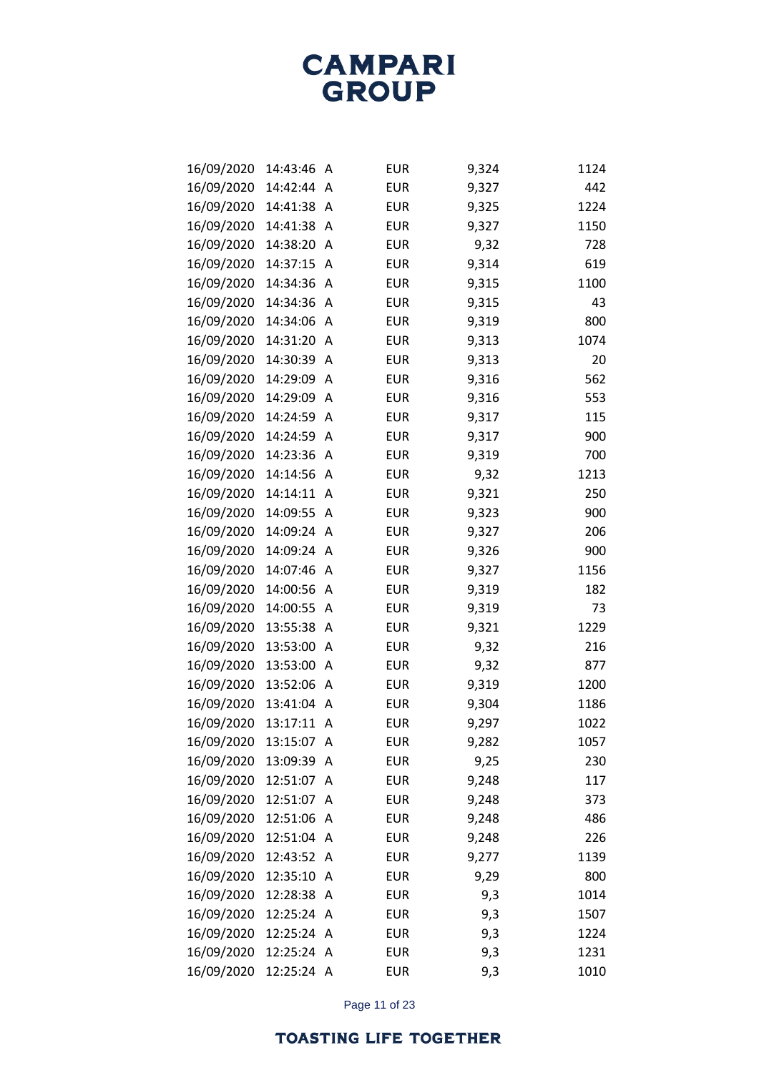| 16/09/2020 | 14:43:46 | A | <b>EUR</b> | 9,324 | 1124 |
|------------|----------|---|------------|-------|------|
| 16/09/2020 | 14:42:44 | A | <b>EUR</b> | 9,327 | 442  |
| 16/09/2020 | 14:41:38 | Α | <b>EUR</b> | 9,325 | 1224 |
| 16/09/2020 | 14:41:38 | A | <b>EUR</b> | 9,327 | 1150 |
| 16/09/2020 | 14:38:20 | A | <b>EUR</b> | 9,32  | 728  |
| 16/09/2020 | 14:37:15 | A | <b>EUR</b> | 9,314 | 619  |
| 16/09/2020 | 14:34:36 | Α | <b>EUR</b> | 9,315 | 1100 |
| 16/09/2020 | 14:34:36 | Α | <b>EUR</b> | 9,315 | 43   |
| 16/09/2020 | 14:34:06 | A | <b>EUR</b> | 9,319 | 800  |
| 16/09/2020 | 14:31:20 | A | <b>EUR</b> | 9,313 | 1074 |
| 16/09/2020 | 14:30:39 | Α | <b>EUR</b> | 9,313 | 20   |
| 16/09/2020 | 14:29:09 | Α | <b>EUR</b> | 9,316 | 562  |
| 16/09/2020 | 14:29:09 | A | <b>EUR</b> | 9,316 | 553  |
| 16/09/2020 | 14:24:59 | A | <b>EUR</b> | 9,317 | 115  |
| 16/09/2020 | 14:24:59 | Α | <b>EUR</b> | 9,317 | 900  |
| 16/09/2020 | 14:23:36 | Α | <b>EUR</b> | 9,319 | 700  |
| 16/09/2020 | 14:14:56 | A | <b>EUR</b> | 9,32  | 1213 |
| 16/09/2020 | 14:14:11 | Α | <b>EUR</b> | 9,321 | 250  |
| 16/09/2020 | 14:09:55 | Α | <b>EUR</b> | 9,323 | 900  |
| 16/09/2020 | 14:09:24 | Α | <b>EUR</b> | 9,327 | 206  |
| 16/09/2020 | 14:09:24 | A | <b>EUR</b> | 9,326 | 900  |
| 16/09/2020 | 14:07:46 | Α | <b>EUR</b> | 9,327 | 1156 |
| 16/09/2020 | 14:00:56 | Α | <b>EUR</b> | 9,319 | 182  |
| 16/09/2020 | 14:00:55 | Α | <b>EUR</b> | 9,319 | 73   |
| 16/09/2020 | 13:55:38 | Α | <b>EUR</b> | 9,321 | 1229 |
| 16/09/2020 | 13:53:00 | Α | <b>EUR</b> | 9,32  | 216  |
| 16/09/2020 | 13:53:00 | Α | <b>EUR</b> | 9,32  | 877  |
| 16/09/2020 | 13:52:06 | A | <b>EUR</b> | 9,319 | 1200 |
| 16/09/2020 | 13:41:04 | A | <b>EUR</b> | 9,304 | 1186 |
| 16/09/2020 | 13:17:11 | Α | <b>EUR</b> | 9,297 | 1022 |
| 16/09/2020 | 13:15:07 | A | <b>EUR</b> | 9,282 | 1057 |
| 16/09/2020 | 13:09:39 | Α | <b>EUR</b> | 9,25  | 230  |
| 16/09/2020 | 12:51:07 | Α | <b>EUR</b> | 9,248 | 117  |
| 16/09/2020 | 12:51:07 | Α | <b>EUR</b> | 9,248 | 373  |
| 16/09/2020 | 12:51:06 | A | <b>EUR</b> | 9,248 | 486  |
| 16/09/2020 | 12:51:04 | A | <b>EUR</b> | 9,248 | 226  |
| 16/09/2020 | 12:43:52 | A | <b>EUR</b> | 9,277 | 1139 |
| 16/09/2020 | 12:35:10 | Α | <b>EUR</b> | 9,29  | 800  |
| 16/09/2020 | 12:28:38 | A | <b>EUR</b> | 9,3   | 1014 |
| 16/09/2020 | 12:25:24 | A | <b>EUR</b> | 9,3   | 1507 |
| 16/09/2020 | 12:25:24 | A | <b>EUR</b> | 9,3   | 1224 |
| 16/09/2020 | 12:25:24 | A | <b>EUR</b> | 9,3   | 1231 |
| 16/09/2020 | 12:25:24 | A | <b>EUR</b> | 9,3   | 1010 |

Page 11 of 23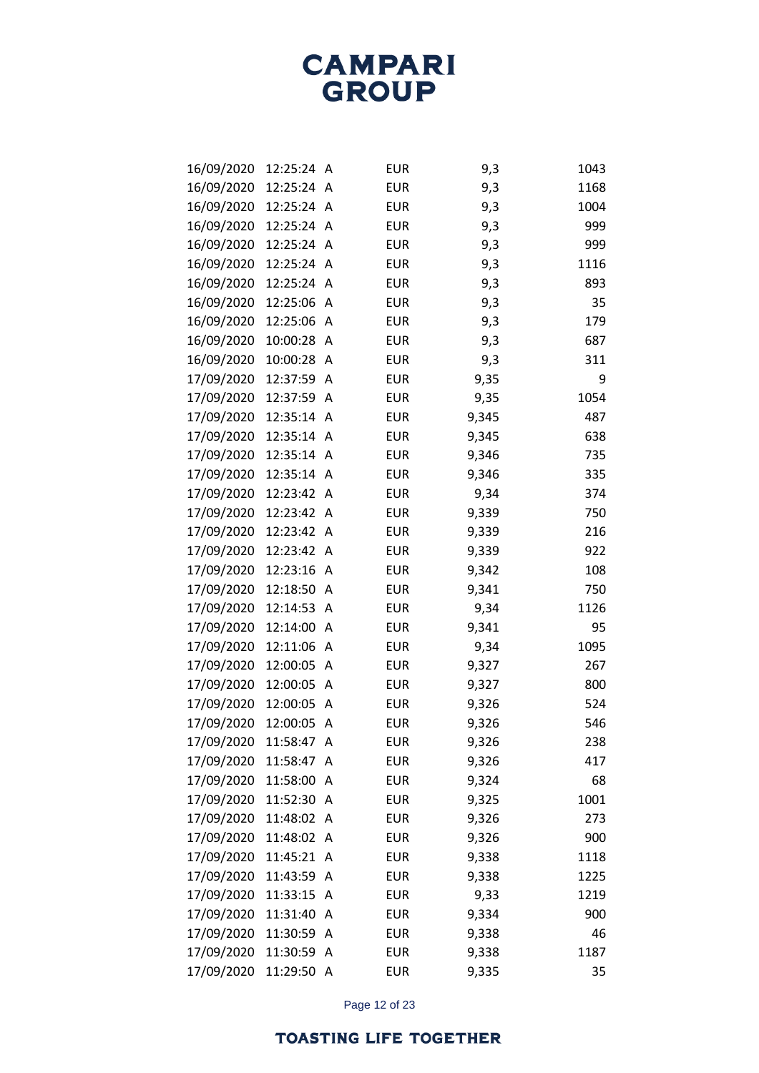| 16/09/2020 | 12:25:24 | A            | <b>EUR</b> | 9,3   | 1043 |
|------------|----------|--------------|------------|-------|------|
| 16/09/2020 | 12:25:24 | A            | <b>EUR</b> | 9,3   | 1168 |
| 16/09/2020 | 12:25:24 | A            | <b>EUR</b> | 9,3   | 1004 |
| 16/09/2020 | 12:25:24 | A            | <b>EUR</b> | 9,3   | 999  |
| 16/09/2020 | 12:25:24 | A            | <b>EUR</b> | 9,3   | 999  |
| 16/09/2020 | 12:25:24 | A            | <b>EUR</b> | 9,3   | 1116 |
| 16/09/2020 | 12:25:24 | A            | <b>EUR</b> | 9,3   | 893  |
| 16/09/2020 | 12:25:06 | Α            | <b>EUR</b> | 9,3   | 35   |
| 16/09/2020 | 12:25:06 | A            | <b>EUR</b> | 9,3   | 179  |
| 16/09/2020 | 10:00:28 | A            | <b>EUR</b> | 9,3   | 687  |
| 16/09/2020 | 10:00:28 | A            | <b>EUR</b> | 9,3   | 311  |
| 17/09/2020 | 12:37:59 | Α            | <b>EUR</b> | 9,35  | 9    |
| 17/09/2020 | 12:37:59 | A            | <b>EUR</b> | 9,35  | 1054 |
| 17/09/2020 | 12:35:14 | A            | <b>EUR</b> | 9,345 | 487  |
| 17/09/2020 | 12:35:14 | A            | <b>EUR</b> | 9,345 | 638  |
| 17/09/2020 | 12:35:14 | A            | <b>EUR</b> | 9,346 | 735  |
| 17/09/2020 | 12:35:14 | A            | <b>EUR</b> | 9,346 | 335  |
| 17/09/2020 | 12:23:42 | Α            | <b>EUR</b> | 9,34  | 374  |
| 17/09/2020 | 12:23:42 | Α            | <b>EUR</b> | 9,339 | 750  |
| 17/09/2020 | 12:23:42 | Α            | <b>EUR</b> | 9,339 | 216  |
| 17/09/2020 | 12:23:42 | A            | <b>EUR</b> | 9,339 | 922  |
| 17/09/2020 | 12:23:16 | Α            | <b>EUR</b> | 9,342 | 108  |
| 17/09/2020 | 12:18:50 | Α            | <b>EUR</b> | 9,341 | 750  |
| 17/09/2020 | 12:14:53 | Α            | <b>EUR</b> | 9,34  | 1126 |
| 17/09/2020 | 12:14:00 | A            | <b>EUR</b> | 9,341 | 95   |
| 17/09/2020 | 12:11:06 | Α            | <b>EUR</b> | 9,34  | 1095 |
| 17/09/2020 | 12:00:05 | Α            | <b>EUR</b> | 9,327 | 267  |
| 17/09/2020 | 12:00:05 | Α            | <b>EUR</b> | 9,327 | 800  |
| 17/09/2020 | 12:00:05 | A            | <b>EUR</b> | 9,326 | 524  |
| 17/09/2020 | 12:00:05 | Α            | <b>EUR</b> | 9,326 | 546  |
| 17/09/2020 | 11:58:47 | A            | <b>EUR</b> | 9,326 | 238  |
| 17/09/2020 | 11:58:47 | A            | <b>EUR</b> | 9,326 | 417  |
| 17/09/2020 | 11:58:00 | A            | <b>EUR</b> | 9,324 | 68   |
| 17/09/2020 | 11:52:30 | A            | <b>EUR</b> | 9,325 | 1001 |
| 17/09/2020 | 11:48:02 | A            | <b>EUR</b> | 9,326 | 273  |
| 17/09/2020 | 11:48:02 | A            | <b>EUR</b> | 9,326 | 900  |
| 17/09/2020 | 11:45:21 | A            | <b>EUR</b> | 9,338 | 1118 |
| 17/09/2020 | 11:43:59 | A            | <b>EUR</b> | 9,338 | 1225 |
| 17/09/2020 | 11:33:15 | A            | <b>EUR</b> | 9,33  | 1219 |
| 17/09/2020 | 11:31:40 | A            | <b>EUR</b> | 9,334 | 900  |
| 17/09/2020 | 11:30:59 | A            | <b>EUR</b> | 9,338 | 46   |
| 17/09/2020 | 11:30:59 | A            | <b>EUR</b> | 9,338 | 1187 |
| 17/09/2020 | 11:29:50 | $\mathsf{A}$ | <b>EUR</b> | 9,335 | 35   |

Page 12 of 23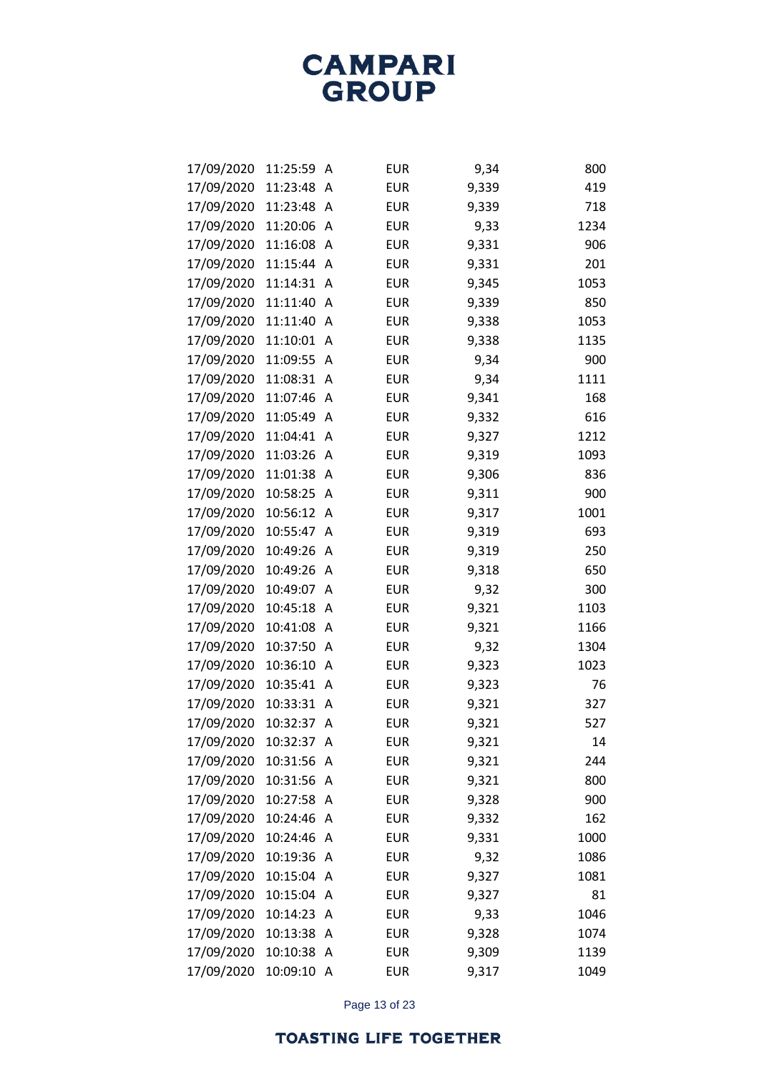| 17/09/2020 | 11:25:59 | Α | <b>EUR</b> | 9,34  | 800  |
|------------|----------|---|------------|-------|------|
| 17/09/2020 | 11:23:48 | A | <b>EUR</b> | 9,339 | 419  |
| 17/09/2020 | 11:23:48 | Α | <b>EUR</b> | 9,339 | 718  |
| 17/09/2020 | 11:20:06 | Α | <b>EUR</b> | 9,33  | 1234 |
| 17/09/2020 | 11:16:08 | A | <b>EUR</b> | 9,331 | 906  |
| 17/09/2020 | 11:15:44 | A | <b>EUR</b> | 9,331 | 201  |
| 17/09/2020 | 11:14:31 | Α | <b>EUR</b> | 9,345 | 1053 |
| 17/09/2020 | 11:11:40 | Α | <b>EUR</b> | 9,339 | 850  |
| 17/09/2020 | 11:11:40 | A | <b>EUR</b> | 9,338 | 1053 |
| 17/09/2020 | 11:10:01 | Α | <b>EUR</b> | 9,338 | 1135 |
| 17/09/2020 | 11:09:55 | Α | <b>EUR</b> | 9,34  | 900  |
| 17/09/2020 | 11:08:31 | Α | <b>EUR</b> | 9,34  | 1111 |
| 17/09/2020 | 11:07:46 | A | <b>EUR</b> | 9,341 | 168  |
| 17/09/2020 | 11:05:49 | A | <b>EUR</b> | 9,332 | 616  |
| 17/09/2020 | 11:04:41 | Α | <b>EUR</b> | 9,327 | 1212 |
| 17/09/2020 | 11:03:26 | Α | <b>EUR</b> | 9,319 | 1093 |
| 17/09/2020 | 11:01:38 | A | <b>EUR</b> | 9,306 | 836  |
| 17/09/2020 | 10:58:25 | Α | <b>EUR</b> | 9,311 | 900  |
| 17/09/2020 | 10:56:12 | Α | <b>EUR</b> | 9,317 | 1001 |
| 17/09/2020 | 10:55:47 | Α | <b>EUR</b> | 9,319 | 693  |
| 17/09/2020 | 10:49:26 | A | <b>EUR</b> | 9,319 | 250  |
| 17/09/2020 | 10:49:26 | Α | <b>EUR</b> | 9,318 | 650  |
| 17/09/2020 | 10:49:07 | Α | <b>EUR</b> | 9,32  | 300  |
| 17/09/2020 | 10:45:18 | Α | <b>EUR</b> | 9,321 | 1103 |
| 17/09/2020 | 10:41:08 | A | <b>EUR</b> | 9,321 | 1166 |
| 17/09/2020 | 10:37:50 | Α | <b>EUR</b> | 9,32  | 1304 |
| 17/09/2020 | 10:36:10 | Α | <b>EUR</b> | 9,323 | 1023 |
| 17/09/2020 | 10:35:41 | Α | <b>EUR</b> | 9,323 | 76   |
| 17/09/2020 | 10:33:31 | A | <b>EUR</b> | 9,321 | 327  |
| 17/09/2020 | 10:32:37 | Α | <b>EUR</b> | 9,321 | 527  |
| 17/09/2020 | 10:32:37 | A | <b>EUR</b> | 9,321 | 14   |
| 17/09/2020 | 10:31:56 | Α | <b>EUR</b> | 9,321 | 244  |
| 17/09/2020 | 10:31:56 | Α | <b>EUR</b> | 9,321 | 800  |
| 17/09/2020 | 10:27:58 | A | <b>EUR</b> | 9,328 | 900  |
| 17/09/2020 | 10:24:46 | A | <b>EUR</b> | 9,332 | 162  |
| 17/09/2020 | 10:24:46 | A | <b>EUR</b> | 9,331 | 1000 |
| 17/09/2020 | 10:19:36 | A | <b>EUR</b> | 9,32  | 1086 |
| 17/09/2020 | 10:15:04 | A | <b>EUR</b> | 9,327 | 1081 |
| 17/09/2020 | 10:15:04 | A | <b>EUR</b> | 9,327 | 81   |
| 17/09/2020 | 10:14:23 | Α | <b>EUR</b> | 9,33  | 1046 |
| 17/09/2020 | 10:13:38 | Α | <b>EUR</b> | 9,328 | 1074 |
| 17/09/2020 | 10:10:38 | Α | <b>EUR</b> | 9,309 | 1139 |
| 17/09/2020 | 10:09:10 | Α | <b>EUR</b> | 9,317 | 1049 |

Page 13 of 23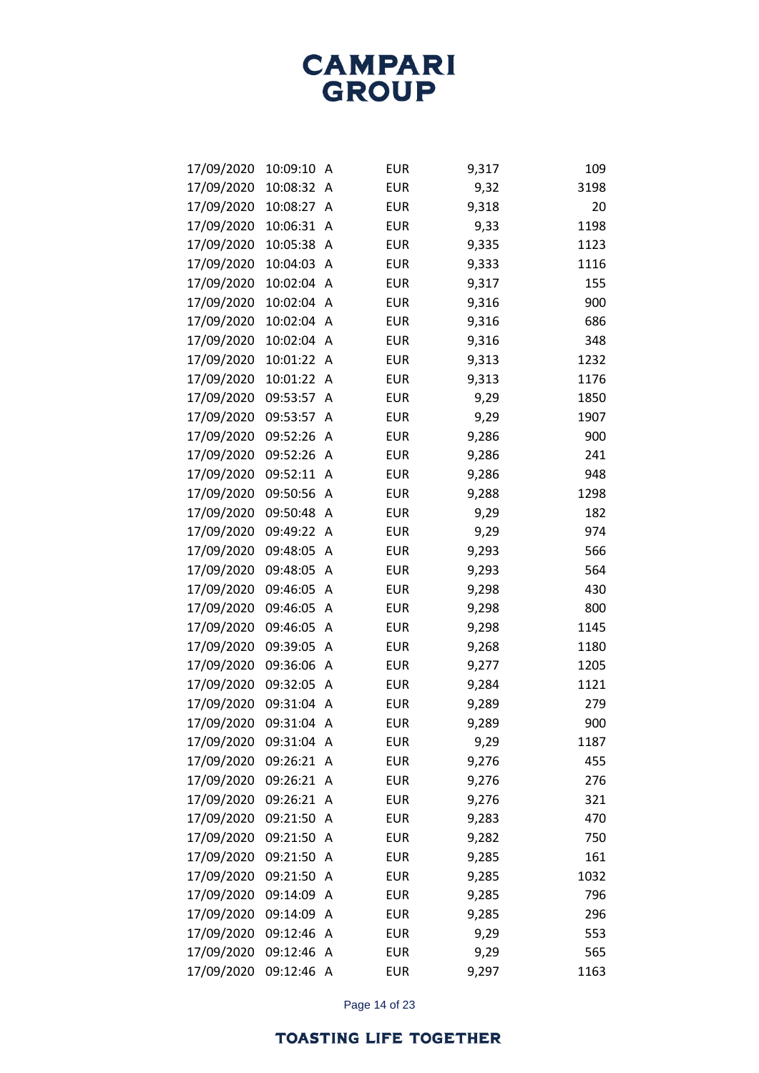| 17/09/2020 | 10:09:10 | Α | <b>EUR</b> | 9,317 | 109  |
|------------|----------|---|------------|-------|------|
| 17/09/2020 | 10:08:32 | Α | <b>EUR</b> | 9,32  | 3198 |
| 17/09/2020 | 10:08:27 | Α | <b>EUR</b> | 9,318 | 20   |
| 17/09/2020 | 10:06:31 | Α | <b>EUR</b> | 9,33  | 1198 |
| 17/09/2020 | 10:05:38 | Α | <b>EUR</b> | 9,335 | 1123 |
| 17/09/2020 | 10:04:03 | A | <b>EUR</b> | 9,333 | 1116 |
| 17/09/2020 | 10:02:04 | Α | <b>EUR</b> | 9,317 | 155  |
| 17/09/2020 | 10:02:04 | Α | <b>EUR</b> | 9,316 | 900  |
| 17/09/2020 | 10:02:04 | A | <b>EUR</b> | 9,316 | 686  |
| 17/09/2020 | 10:02:04 | A | <b>EUR</b> | 9,316 | 348  |
| 17/09/2020 | 10:01:22 | Α | <b>EUR</b> | 9,313 | 1232 |
| 17/09/2020 | 10:01:22 | Α | <b>EUR</b> | 9,313 | 1176 |
| 17/09/2020 | 09:53:57 | A | <b>EUR</b> | 9,29  | 1850 |
| 17/09/2020 | 09:53:57 | Α | <b>EUR</b> | 9,29  | 1907 |
| 17/09/2020 | 09:52:26 | Α | <b>EUR</b> | 9,286 | 900  |
| 17/09/2020 | 09:52:26 | Α | <b>EUR</b> | 9,286 | 241  |
| 17/09/2020 | 09:52:11 | Α | <b>EUR</b> | 9,286 | 948  |
| 17/09/2020 | 09:50:56 | Α | <b>EUR</b> | 9,288 | 1298 |
| 17/09/2020 | 09:50:48 | Α | <b>EUR</b> | 9,29  | 182  |
| 17/09/2020 | 09:49:22 | Α | <b>EUR</b> | 9,29  | 974  |
| 17/09/2020 | 09:48:05 | A | <b>EUR</b> | 9,293 | 566  |
| 17/09/2020 | 09:48:05 | Α | <b>EUR</b> | 9,293 | 564  |
| 17/09/2020 | 09:46:05 | Α | <b>EUR</b> | 9,298 | 430  |
| 17/09/2020 | 09:46:05 | Α | <b>EUR</b> | 9,298 | 800  |
| 17/09/2020 | 09:46:05 | Α | <b>EUR</b> | 9,298 | 1145 |
| 17/09/2020 | 09:39:05 | Α | <b>EUR</b> | 9,268 | 1180 |
| 17/09/2020 | 09:36:06 | Α | <b>EUR</b> | 9,277 | 1205 |
| 17/09/2020 | 09:32:05 | Α | <b>EUR</b> | 9,284 | 1121 |
| 17/09/2020 | 09:31:04 | A | <b>EUR</b> | 9,289 | 279  |
| 17/09/2020 | 09:31:04 | Α | <b>EUR</b> | 9,289 | 900  |
| 17/09/2020 | 09:31:04 | A | <b>EUR</b> | 9,29  | 1187 |
| 17/09/2020 | 09:26:21 | Α | <b>EUR</b> | 9,276 | 455  |
| 17/09/2020 | 09:26:21 | A | <b>EUR</b> | 9,276 | 276  |
| 17/09/2020 | 09:26:21 | A | <b>EUR</b> | 9,276 | 321  |
| 17/09/2020 | 09:21:50 | A | <b>EUR</b> | 9,283 | 470  |
| 17/09/2020 | 09:21:50 | Α | <b>EUR</b> | 9,282 | 750  |
| 17/09/2020 | 09:21:50 | Α | <b>EUR</b> | 9,285 | 161  |
| 17/09/2020 | 09:21:50 | Α | <b>EUR</b> | 9,285 | 1032 |
| 17/09/2020 | 09:14:09 | Α | <b>EUR</b> | 9,285 | 796  |
| 17/09/2020 | 09:14:09 | Α | <b>EUR</b> | 9,285 | 296  |
| 17/09/2020 | 09:12:46 | Α | <b>EUR</b> | 9,29  | 553  |
| 17/09/2020 | 09:12:46 | Α | <b>EUR</b> | 9,29  | 565  |
| 17/09/2020 | 09:12:46 | A | <b>EUR</b> | 9,297 | 1163 |

Page 14 of 23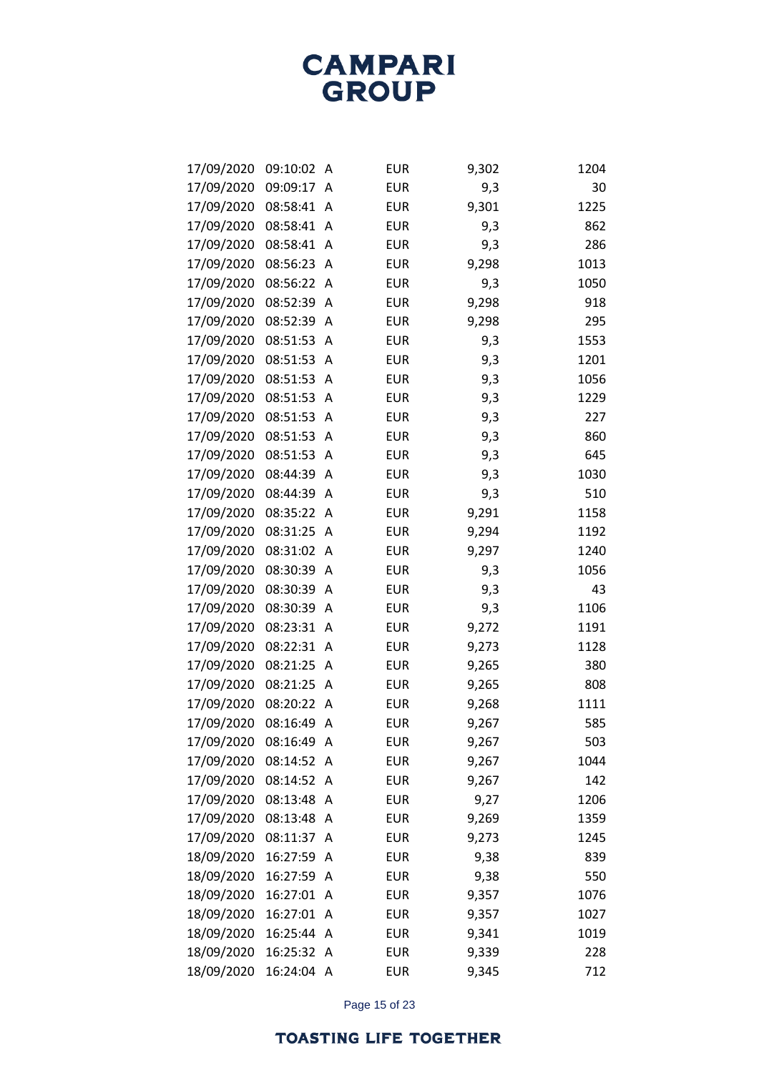| 17/09/2020 | 09:10:02 | Α | <b>EUR</b> | 9,302 | 1204 |
|------------|----------|---|------------|-------|------|
| 17/09/2020 | 09:09:17 | A | <b>EUR</b> | 9,3   | 30   |
| 17/09/2020 | 08:58:41 | Α | <b>EUR</b> | 9,301 | 1225 |
| 17/09/2020 | 08:58:41 | Α | <b>EUR</b> | 9,3   | 862  |
| 17/09/2020 | 08:58:41 | Α | <b>EUR</b> | 9,3   | 286  |
| 17/09/2020 | 08:56:23 | A | <b>EUR</b> | 9,298 | 1013 |
| 17/09/2020 | 08:56:22 | Α | <b>EUR</b> | 9,3   | 1050 |
| 17/09/2020 | 08:52:39 | Α | <b>EUR</b> | 9,298 | 918  |
| 17/09/2020 | 08:52:39 | A | <b>EUR</b> | 9,298 | 295  |
| 17/09/2020 | 08:51:53 | Α | <b>EUR</b> | 9,3   | 1553 |
| 17/09/2020 | 08:51:53 | Α | <b>EUR</b> | 9,3   | 1201 |
| 17/09/2020 | 08:51:53 | Α | <b>EUR</b> | 9,3   | 1056 |
| 17/09/2020 | 08:51:53 | Α | <b>EUR</b> | 9,3   | 1229 |
| 17/09/2020 | 08:51:53 | Α | <b>EUR</b> | 9,3   | 227  |
| 17/09/2020 | 08:51:53 | Α | <b>EUR</b> | 9,3   | 860  |
| 17/09/2020 | 08:51:53 | Α | <b>EUR</b> | 9,3   | 645  |
| 17/09/2020 | 08:44:39 | A | <b>EUR</b> | 9,3   | 1030 |
| 17/09/2020 | 08:44:39 | A | <b>EUR</b> | 9,3   | 510  |
| 17/09/2020 | 08:35:22 | Α | <b>EUR</b> | 9,291 | 1158 |
| 17/09/2020 | 08:31:25 | Α | <b>EUR</b> | 9,294 | 1192 |
| 17/09/2020 | 08:31:02 | A | <b>EUR</b> | 9,297 | 1240 |
| 17/09/2020 | 08:30:39 | Α | <b>EUR</b> | 9,3   | 1056 |
| 17/09/2020 | 08:30:39 | Α | <b>EUR</b> | 9,3   | 43   |
| 17/09/2020 | 08:30:39 | Α | <b>EUR</b> | 9,3   | 1106 |
| 17/09/2020 | 08:23:31 | Α | <b>EUR</b> | 9,272 | 1191 |
| 17/09/2020 | 08:22:31 | Α | <b>EUR</b> | 9,273 | 1128 |
| 17/09/2020 | 08:21:25 | Α | <b>EUR</b> | 9,265 | 380  |
| 17/09/2020 | 08:21:25 | Α | <b>EUR</b> | 9,265 | 808  |
| 17/09/2020 | 08:20:22 | Α | <b>EUR</b> | 9,268 | 1111 |
| 17/09/2020 | 08:16:49 | Α | <b>EUR</b> | 9,267 | 585  |
| 17/09/2020 | 08:16:49 | A | <b>EUR</b> | 9,267 | 503  |
| 17/09/2020 | 08:14:52 | Α | <b>EUR</b> | 9,267 | 1044 |
| 17/09/2020 | 08:14:52 | Α | <b>EUR</b> | 9,267 | 142  |
| 17/09/2020 | 08:13:48 | Α | <b>EUR</b> | 9,27  | 1206 |
| 17/09/2020 | 08:13:48 | A | <b>EUR</b> | 9,269 | 1359 |
| 17/09/2020 | 08:11:37 | A | <b>EUR</b> | 9,273 | 1245 |
| 18/09/2020 | 16:27:59 | Α | <b>EUR</b> | 9,38  | 839  |
| 18/09/2020 | 16:27:59 | Α | <b>EUR</b> | 9,38  | 550  |
| 18/09/2020 | 16:27:01 | A | <b>EUR</b> | 9,357 | 1076 |
| 18/09/2020 | 16:27:01 | A | <b>EUR</b> | 9,357 | 1027 |
| 18/09/2020 | 16:25:44 | Α | <b>EUR</b> | 9,341 | 1019 |
| 18/09/2020 | 16:25:32 | A | <b>EUR</b> | 9,339 | 228  |
| 18/09/2020 | 16:24:04 | A | <b>EUR</b> | 9,345 | 712  |

Page 15 of 23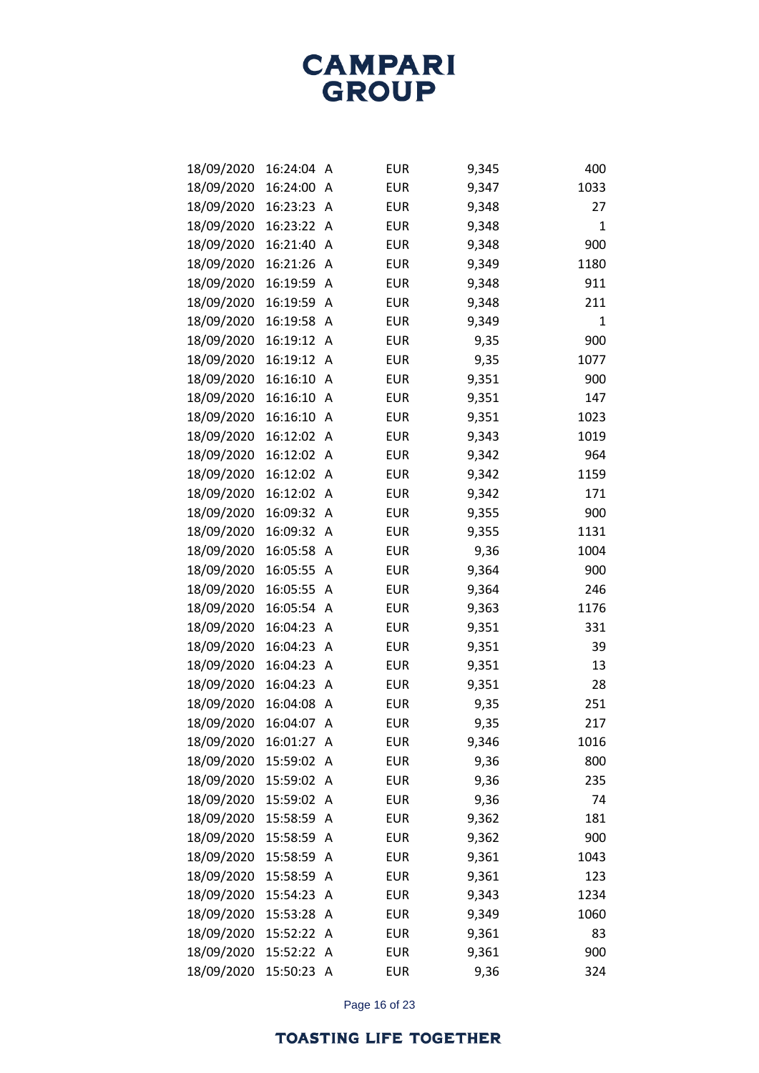| 18/09/2020 | 16:24:04 | А | <b>EUR</b> | 9,345 | 400         |
|------------|----------|---|------------|-------|-------------|
| 18/09/2020 | 16:24:00 | A | <b>EUR</b> | 9,347 | 1033        |
| 18/09/2020 | 16:23:23 | Α | <b>EUR</b> | 9,348 | 27          |
| 18/09/2020 | 16:23:22 | Α | <b>EUR</b> | 9,348 | $\mathbf 1$ |
| 18/09/2020 | 16:21:40 | A | <b>EUR</b> | 9,348 | 900         |
| 18/09/2020 | 16:21:26 | A | <b>EUR</b> | 9,349 | 1180        |
| 18/09/2020 | 16:19:59 | A | <b>EUR</b> | 9,348 | 911         |
| 18/09/2020 | 16:19:59 | Α | <b>EUR</b> | 9,348 | 211         |
| 18/09/2020 | 16:19:58 | A | <b>EUR</b> | 9,349 | 1           |
| 18/09/2020 | 16:19:12 | Α | <b>EUR</b> | 9,35  | 900         |
| 18/09/2020 | 16:19:12 | Α | <b>EUR</b> | 9,35  | 1077        |
| 18/09/2020 | 16:16:10 | Α | <b>EUR</b> | 9,351 | 900         |
| 18/09/2020 | 16:16:10 | A | <b>EUR</b> | 9,351 | 147         |
| 18/09/2020 | 16:16:10 | A | <b>EUR</b> | 9,351 | 1023        |
| 18/09/2020 | 16:12:02 | Α | <b>EUR</b> | 9,343 | 1019        |
| 18/09/2020 | 16:12:02 | Α | <b>EUR</b> | 9,342 | 964         |
| 18/09/2020 | 16:12:02 | A | <b>EUR</b> | 9,342 | 1159        |
| 18/09/2020 | 16:12:02 | Α | <b>EUR</b> | 9,342 | 171         |
| 18/09/2020 | 16:09:32 | Α | <b>EUR</b> | 9,355 | 900         |
| 18/09/2020 | 16:09:32 | Α | <b>EUR</b> | 9,355 | 1131        |
| 18/09/2020 | 16:05:58 | А | <b>EUR</b> | 9,36  | 1004        |
| 18/09/2020 | 16:05:55 | Α | <b>EUR</b> | 9,364 | 900         |
| 18/09/2020 | 16:05:55 | Α | <b>EUR</b> | 9,364 | 246         |
| 18/09/2020 | 16:05:54 | Α | <b>EUR</b> | 9,363 | 1176        |
| 18/09/2020 | 16:04:23 | А | <b>EUR</b> | 9,351 | 331         |
| 18/09/2020 | 16:04:23 | Α | <b>EUR</b> | 9,351 | 39          |
| 18/09/2020 | 16:04:23 | Α | <b>EUR</b> | 9,351 | 13          |
| 18/09/2020 | 16:04:23 | Α | <b>EUR</b> | 9,351 | 28          |
| 18/09/2020 | 16:04:08 | А | <b>EUR</b> | 9,35  | 251         |
| 18/09/2020 | 16:04:07 | Α | <b>EUR</b> | 9,35  | 217         |
| 18/09/2020 | 16:01:27 | A | <b>EUR</b> | 9,346 | 1016        |
| 18/09/2020 | 15:59:02 | Α | <b>EUR</b> | 9,36  | 800         |
| 18/09/2020 | 15:59:02 | Α | <b>EUR</b> | 9,36  | 235         |
| 18/09/2020 | 15:59:02 | Α | <b>EUR</b> | 9,36  | 74          |
| 18/09/2020 | 15:58:59 | А | <b>EUR</b> | 9,362 | 181         |
| 18/09/2020 | 15:58:59 | А | <b>EUR</b> | 9,362 | 900         |
| 18/09/2020 | 15:58:59 | Α | <b>EUR</b> | 9,361 | 1043        |
| 18/09/2020 | 15:58:59 | Α | <b>EUR</b> | 9,361 | 123         |
| 18/09/2020 | 15:54:23 | A | <b>EUR</b> | 9,343 | 1234        |
| 18/09/2020 | 15:53:28 | Α | <b>EUR</b> | 9,349 | 1060        |
| 18/09/2020 | 15:52:22 | Α | <b>EUR</b> | 9,361 | 83          |
| 18/09/2020 | 15:52:22 | Α | <b>EUR</b> | 9,361 | 900         |
| 18/09/2020 | 15:50:23 | Α | <b>EUR</b> | 9,36  | 324         |

Page 16 of 23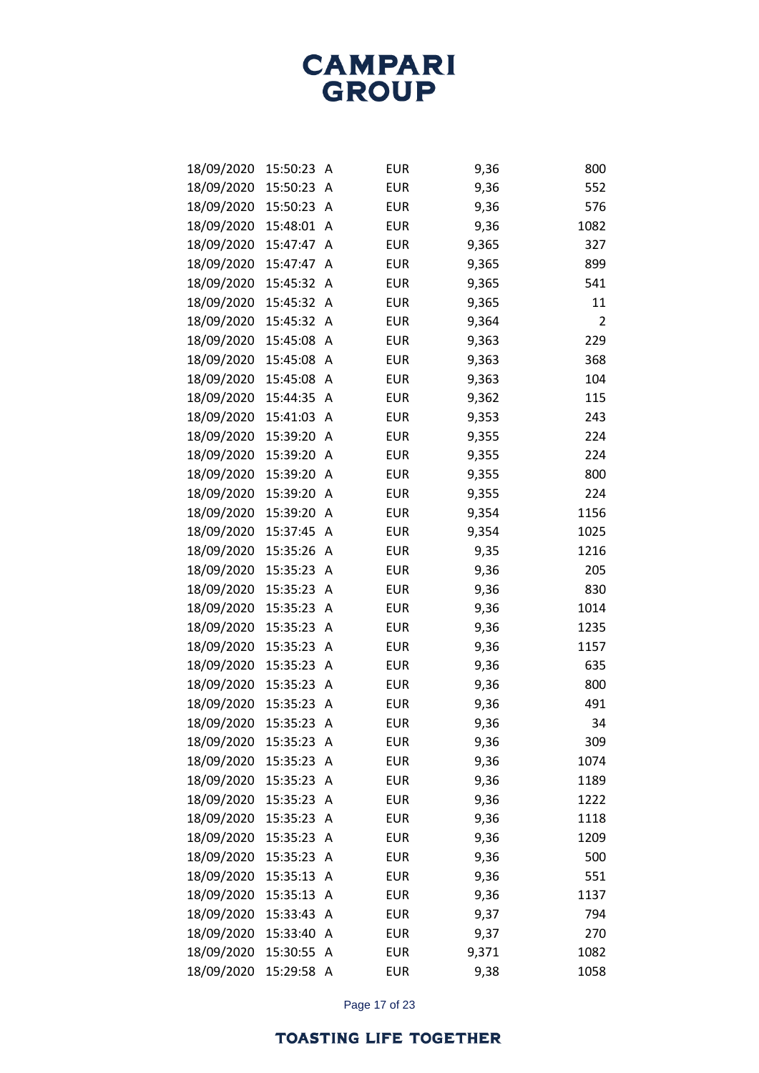| 18/09/2020 | 15:50:23 | Α | <b>EUR</b> | 9,36  | 800  |
|------------|----------|---|------------|-------|------|
| 18/09/2020 | 15:50:23 | A | <b>EUR</b> | 9,36  | 552  |
| 18/09/2020 | 15:50:23 | Α | <b>EUR</b> | 9,36  | 576  |
| 18/09/2020 | 15:48:01 | Α | <b>EUR</b> | 9,36  | 1082 |
| 18/09/2020 | 15:47:47 | A | <b>EUR</b> | 9,365 | 327  |
| 18/09/2020 | 15:47:47 | A | <b>EUR</b> | 9,365 | 899  |
| 18/09/2020 | 15:45:32 | Α | <b>EUR</b> | 9,365 | 541  |
| 18/09/2020 | 15:45:32 | Α | <b>EUR</b> | 9,365 | 11   |
| 18/09/2020 | 15:45:32 | A | <b>EUR</b> | 9,364 | 2    |
| 18/09/2020 | 15:45:08 | Α | <b>EUR</b> | 9,363 | 229  |
| 18/09/2020 | 15:45:08 | Α | <b>EUR</b> | 9,363 | 368  |
| 18/09/2020 | 15:45:08 | A | <b>EUR</b> | 9,363 | 104  |
| 18/09/2020 | 15:44:35 | A | <b>EUR</b> | 9,362 | 115  |
| 18/09/2020 | 15:41:03 | A | <b>EUR</b> | 9,353 | 243  |
| 18/09/2020 | 15:39:20 | A | <b>EUR</b> | 9,355 | 224  |
| 18/09/2020 | 15:39:20 | A | <b>EUR</b> | 9,355 | 224  |
| 18/09/2020 | 15:39:20 | A | <b>EUR</b> | 9,355 | 800  |
| 18/09/2020 | 15:39:20 | Α | <b>EUR</b> | 9,355 | 224  |
| 18/09/2020 | 15:39:20 | A | <b>EUR</b> | 9,354 | 1156 |
| 18/09/2020 | 15:37:45 | A | <b>EUR</b> | 9,354 | 1025 |
| 18/09/2020 | 15:35:26 | A | <b>EUR</b> | 9,35  | 1216 |
| 18/09/2020 | 15:35:23 | Α | <b>EUR</b> | 9,36  | 205  |
| 18/09/2020 | 15:35:23 | Α | <b>EUR</b> | 9,36  | 830  |
| 18/09/2020 | 15:35:23 | A | <b>EUR</b> | 9,36  | 1014 |
| 18/09/2020 | 15:35:23 | A | <b>EUR</b> | 9,36  | 1235 |
| 18/09/2020 | 15:35:23 | Α | <b>EUR</b> | 9,36  | 1157 |
| 18/09/2020 | 15:35:23 | Α | <b>EUR</b> | 9,36  | 635  |
| 18/09/2020 | 15:35:23 | Α | <b>EUR</b> | 9,36  | 800  |
| 18/09/2020 | 15:35:23 | A | <b>EUR</b> | 9,36  | 491  |
| 18/09/2020 | 15:35:23 | Α | <b>EUR</b> | 9,36  | 34   |
| 18/09/2020 | 15:35:23 | A | <b>EUR</b> | 9,36  | 309  |
| 18/09/2020 | 15:35:23 | A | <b>EUR</b> | 9,36  | 1074 |
| 18/09/2020 | 15:35:23 | A | <b>EUR</b> | 9,36  | 1189 |
| 18/09/2020 | 15:35:23 | Α | <b>EUR</b> | 9,36  | 1222 |
| 18/09/2020 | 15:35:23 | A | <b>EUR</b> | 9,36  | 1118 |
| 18/09/2020 | 15:35:23 | A | <b>EUR</b> | 9,36  | 1209 |
| 18/09/2020 | 15:35:23 | A | <b>EUR</b> | 9,36  | 500  |
| 18/09/2020 | 15:35:13 | Α | <b>EUR</b> | 9,36  | 551  |
| 18/09/2020 | 15:35:13 | A | <b>EUR</b> | 9,36  | 1137 |
| 18/09/2020 | 15:33:43 | A | <b>EUR</b> | 9,37  | 794  |
| 18/09/2020 | 15:33:40 | A | <b>EUR</b> | 9,37  | 270  |
| 18/09/2020 | 15:30:55 | A | <b>EUR</b> | 9,371 | 1082 |
| 18/09/2020 | 15:29:58 | A | <b>EUR</b> | 9,38  | 1058 |

Page 17 of 23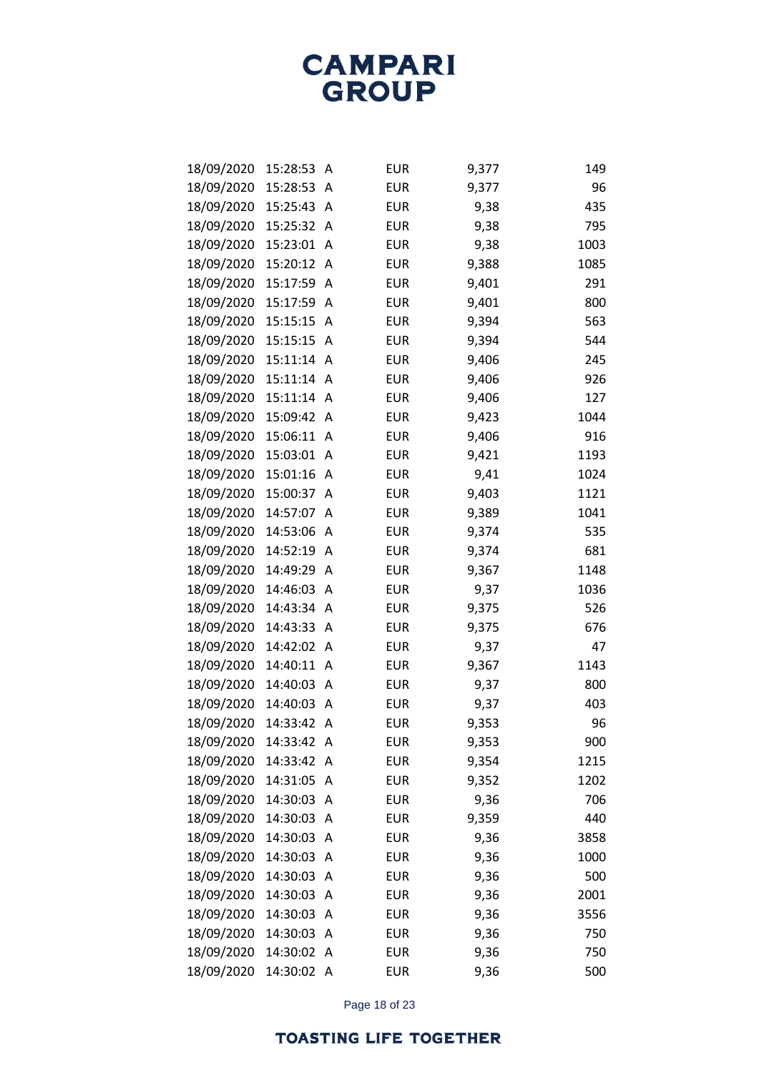| 18/09/2020 | 15:28:53 | Α | <b>EUR</b> | 9,377 | 149  |
|------------|----------|---|------------|-------|------|
| 18/09/2020 | 15:28:53 | Α | <b>EUR</b> | 9,377 | 96   |
| 18/09/2020 | 15:25:43 | Α | <b>EUR</b> | 9,38  | 435  |
| 18/09/2020 | 15:25:32 | Α | <b>EUR</b> | 9,38  | 795  |
| 18/09/2020 | 15:23:01 | Α | <b>EUR</b> | 9,38  | 1003 |
| 18/09/2020 | 15:20:12 | Α | <b>EUR</b> | 9,388 | 1085 |
| 18/09/2020 | 15:17:59 | A | <b>EUR</b> | 9,401 | 291  |
| 18/09/2020 | 15:17:59 | Α | <b>EUR</b> | 9,401 | 800  |
| 18/09/2020 | 15:15:15 | A | <b>EUR</b> | 9,394 | 563  |
| 18/09/2020 | 15:15:15 | Α | <b>EUR</b> | 9,394 | 544  |
| 18/09/2020 | 15:11:14 | Α | <b>EUR</b> | 9,406 | 245  |
| 18/09/2020 | 15:11:14 | Α | <b>EUR</b> | 9,406 | 926  |
| 18/09/2020 | 15:11:14 | A | <b>EUR</b> | 9,406 | 127  |
| 18/09/2020 | 15:09:42 | Α | <b>EUR</b> | 9,423 | 1044 |
| 18/09/2020 | 15:06:11 | Α | <b>EUR</b> | 9,406 | 916  |
| 18/09/2020 | 15:03:01 | Α | <b>EUR</b> | 9,421 | 1193 |
| 18/09/2020 | 15:01:16 | Α | <b>EUR</b> | 9,41  | 1024 |
| 18/09/2020 | 15:00:37 | Α | <b>EUR</b> | 9,403 | 1121 |
| 18/09/2020 | 14:57:07 | Α | <b>EUR</b> | 9,389 | 1041 |
| 18/09/2020 | 14:53:06 | Α | <b>EUR</b> | 9,374 | 535  |
| 18/09/2020 | 14:52:19 | A | <b>EUR</b> | 9,374 | 681  |
| 18/09/2020 | 14:49:29 | Α | <b>EUR</b> | 9,367 | 1148 |
| 18/09/2020 | 14:46:03 | Α | <b>EUR</b> | 9,37  | 1036 |
| 18/09/2020 | 14:43:34 | Α | <b>EUR</b> | 9,375 | 526  |
| 18/09/2020 | 14:43:33 | Α | <b>EUR</b> | 9,375 | 676  |
| 18/09/2020 | 14:42:02 | Α | <b>EUR</b> | 9,37  | 47   |
| 18/09/2020 | 14:40:11 | Α | <b>EUR</b> | 9,367 | 1143 |
| 18/09/2020 | 14:40:03 | Α | <b>EUR</b> | 9,37  | 800  |
| 18/09/2020 | 14:40:03 | A | <b>EUR</b> | 9,37  | 403  |
| 18/09/2020 | 14:33:42 | Α | <b>EUR</b> | 9,353 | 96   |
| 18/09/2020 | 14:33:42 | A | <b>EUR</b> | 9,353 | 900  |
| 18/09/2020 | 14:33:42 | Α | <b>EUR</b> | 9,354 | 1215 |
| 18/09/2020 | 14:31:05 | Α | <b>EUR</b> | 9,352 | 1202 |
| 18/09/2020 | 14:30:03 | A | <b>EUR</b> | 9,36  | 706  |
| 18/09/2020 | 14:30:03 | A | <b>EUR</b> | 9,359 | 440  |
| 18/09/2020 | 14:30:03 | Α | <b>EUR</b> | 9,36  | 3858 |
| 18/09/2020 | 14:30:03 | Α | <b>EUR</b> | 9,36  | 1000 |
| 18/09/2020 | 14:30:03 | A | <b>EUR</b> | 9,36  | 500  |
| 18/09/2020 | 14:30:03 | A | <b>EUR</b> | 9,36  | 2001 |
| 18/09/2020 | 14:30:03 | Α | <b>EUR</b> | 9,36  | 3556 |
| 18/09/2020 | 14:30:03 | Α | <b>EUR</b> | 9,36  | 750  |
| 18/09/2020 | 14:30:02 | A | <b>EUR</b> | 9,36  | 750  |
| 18/09/2020 | 14:30:02 | A | <b>EUR</b> | 9,36  | 500  |

Page 18 of 23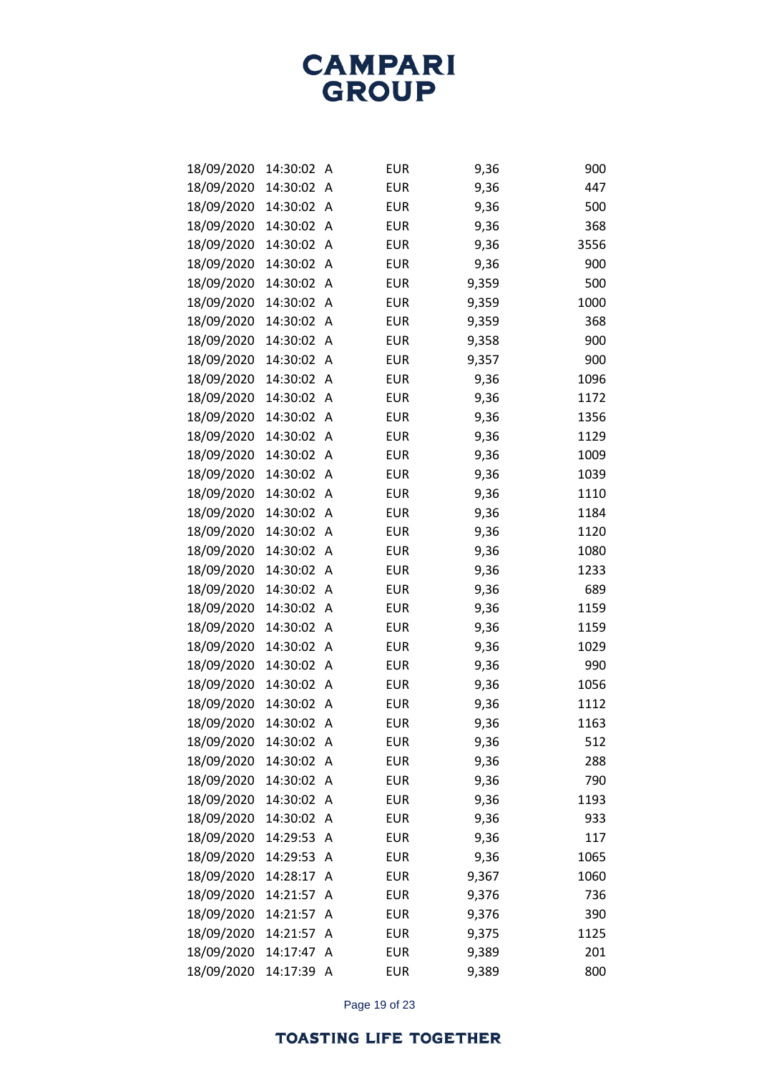| 18/09/2020 | 14:30:02 | Α | <b>EUR</b> | 9,36  | 900  |
|------------|----------|---|------------|-------|------|
| 18/09/2020 | 14:30:02 | A | <b>EUR</b> | 9,36  | 447  |
| 18/09/2020 | 14:30:02 | Α | <b>EUR</b> | 9,36  | 500  |
| 18/09/2020 | 14:30:02 | Α | <b>EUR</b> | 9,36  | 368  |
| 18/09/2020 | 14:30:02 | A | <b>EUR</b> | 9,36  | 3556 |
| 18/09/2020 | 14:30:02 | A | <b>EUR</b> | 9,36  | 900  |
| 18/09/2020 | 14:30:02 | A | <b>EUR</b> | 9,359 | 500  |
| 18/09/2020 | 14:30:02 | A | <b>EUR</b> | 9,359 | 1000 |
| 18/09/2020 | 14:30:02 | A | <b>EUR</b> | 9,359 | 368  |
| 18/09/2020 | 14:30:02 | A | <b>EUR</b> | 9,358 | 900  |
| 18/09/2020 | 14:30:02 | A | <b>EUR</b> | 9,357 | 900  |
| 18/09/2020 | 14:30:02 | A | <b>EUR</b> | 9,36  | 1096 |
| 18/09/2020 | 14:30:02 | A | <b>EUR</b> | 9,36  | 1172 |
| 18/09/2020 | 14:30:02 | A | <b>EUR</b> | 9,36  | 1356 |
| 18/09/2020 | 14:30:02 | A | <b>EUR</b> | 9,36  | 1129 |
| 18/09/2020 | 14:30:02 | A | <b>EUR</b> | 9,36  | 1009 |
| 18/09/2020 | 14:30:02 | A | <b>EUR</b> | 9,36  | 1039 |
| 18/09/2020 | 14:30:02 | A | <b>EUR</b> | 9,36  | 1110 |
| 18/09/2020 | 14:30:02 | A | <b>EUR</b> | 9,36  | 1184 |
| 18/09/2020 | 14:30:02 | A | <b>EUR</b> | 9,36  | 1120 |
| 18/09/2020 | 14:30:02 | A | <b>EUR</b> | 9,36  | 1080 |
| 18/09/2020 | 14:30:02 | A | <b>EUR</b> | 9,36  | 1233 |
| 18/09/2020 | 14:30:02 | A | <b>EUR</b> | 9,36  | 689  |
| 18/09/2020 | 14:30:02 | A | <b>EUR</b> | 9,36  | 1159 |
| 18/09/2020 | 14:30:02 | A | <b>EUR</b> | 9,36  | 1159 |
| 18/09/2020 | 14:30:02 | A | <b>EUR</b> | 9,36  | 1029 |
| 18/09/2020 | 14:30:02 | A | <b>EUR</b> | 9,36  | 990  |
| 18/09/2020 | 14:30:02 | A | <b>EUR</b> | 9,36  | 1056 |
| 18/09/2020 | 14:30:02 | A | <b>EUR</b> | 9,36  | 1112 |
| 18/09/2020 | 14:30:02 | A | EUR        | 9,36  | 1163 |
| 18/09/2020 | 14:30:02 | A | <b>EUR</b> | 9,36  | 512  |
| 18/09/2020 | 14:30:02 | A | <b>EUR</b> | 9,36  | 288  |
| 18/09/2020 | 14:30:02 | Α | <b>EUR</b> | 9,36  | 790  |
| 18/09/2020 | 14:30:02 | Α | <b>EUR</b> | 9,36  | 1193 |
| 18/09/2020 | 14:30:02 | A | <b>EUR</b> | 9,36  | 933  |
| 18/09/2020 | 14:29:53 | A | <b>EUR</b> | 9,36  | 117  |
| 18/09/2020 | 14:29:53 | Α | <b>EUR</b> | 9,36  | 1065 |
| 18/09/2020 | 14:28:17 | Α | <b>EUR</b> | 9,367 | 1060 |
| 18/09/2020 | 14:21:57 | A | <b>EUR</b> | 9,376 | 736  |
| 18/09/2020 | 14:21:57 | Α | <b>EUR</b> | 9,376 | 390  |
| 18/09/2020 | 14:21:57 | Α | <b>EUR</b> | 9,375 | 1125 |
| 18/09/2020 | 14:17:47 | A | <b>EUR</b> | 9,389 | 201  |
| 18/09/2020 | 14:17:39 | Α | <b>EUR</b> | 9,389 | 800  |

Page 19 of 23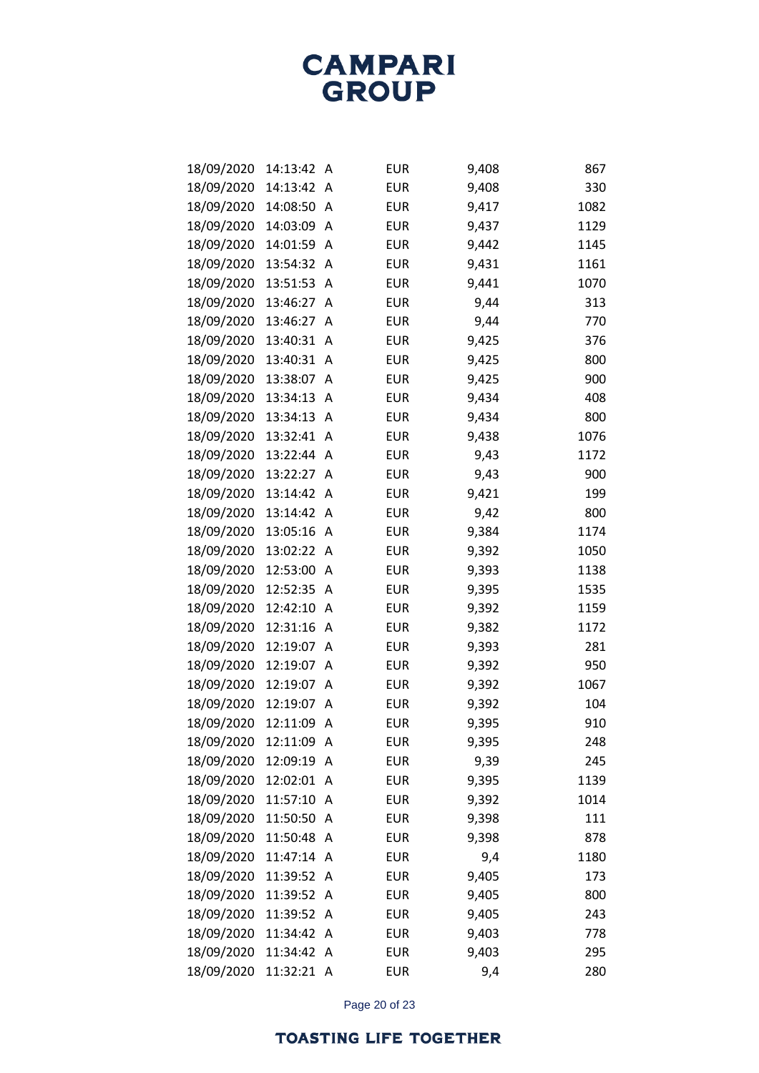| 18/09/2020 | 14:13:42   | A | <b>EUR</b> | 9,408 | 867  |
|------------|------------|---|------------|-------|------|
| 18/09/2020 | 14:13:42   | Α | <b>EUR</b> | 9,408 | 330  |
| 18/09/2020 | 14:08:50   | Α | <b>EUR</b> | 9,417 | 1082 |
| 18/09/2020 | 14:03:09   | A | <b>EUR</b> | 9,437 | 1129 |
| 18/09/2020 | 14:01:59   | A | <b>EUR</b> | 9,442 | 1145 |
| 18/09/2020 | 13:54:32   | A | <b>EUR</b> | 9,431 | 1161 |
| 18/09/2020 | 13:51:53   | Α | <b>EUR</b> | 9,441 | 1070 |
| 18/09/2020 | 13:46:27   | A | <b>EUR</b> | 9,44  | 313  |
| 18/09/2020 | 13:46:27   | A | <b>EUR</b> | 9,44  | 770  |
| 18/09/2020 | 13:40:31   | Α | <b>EUR</b> | 9,425 | 376  |
| 18/09/2020 | 13:40:31   | Α | <b>EUR</b> | 9,425 | 800  |
| 18/09/2020 | 13:38:07   | A | <b>EUR</b> | 9,425 | 900  |
| 18/09/2020 | 13:34:13   | A | <b>EUR</b> | 9,434 | 408  |
| 18/09/2020 | 13:34:13   | A | <b>EUR</b> | 9,434 | 800  |
| 18/09/2020 | 13:32:41   | A | <b>EUR</b> | 9,438 | 1076 |
| 18/09/2020 | 13:22:44   | A | <b>EUR</b> | 9,43  | 1172 |
| 18/09/2020 | 13:22:27   | A | <b>EUR</b> | 9,43  | 900  |
| 18/09/2020 | 13:14:42   | Α | <b>EUR</b> | 9,421 | 199  |
| 18/09/2020 | 13:14:42   | A | <b>EUR</b> | 9,42  | 800  |
| 18/09/2020 | 13:05:16   | A | <b>EUR</b> | 9,384 | 1174 |
| 18/09/2020 | 13:02:22   | A | <b>EUR</b> | 9,392 | 1050 |
| 18/09/2020 | 12:53:00   | A | <b>EUR</b> | 9,393 | 1138 |
| 18/09/2020 | 12:52:35   | Α | <b>EUR</b> | 9,395 | 1535 |
| 18/09/2020 | 12:42:10   | A | <b>EUR</b> | 9,392 | 1159 |
| 18/09/2020 | 12:31:16   | A | <b>EUR</b> | 9,382 | 1172 |
| 18/09/2020 | 12:19:07   | Α | <b>EUR</b> | 9,393 | 281  |
| 18/09/2020 | 12:19:07   | Α | <b>EUR</b> | 9,392 | 950  |
| 18/09/2020 | 12:19:07   | A | <b>EUR</b> | 9,392 | 1067 |
| 18/09/2020 | 12:19:07   | A | <b>EUR</b> | 9,392 | 104  |
| 18/09/2020 | 12:11:09   | A | <b>EUR</b> | 9,395 | 910  |
| 18/09/2020 | 12:11:09   | Α | <b>EUR</b> | 9,395 | 248  |
| 18/09/2020 | 12:09:19   | A | <b>EUR</b> | 9,39  | 245  |
| 18/09/2020 | 12:02:01   | A | <b>EUR</b> | 9,395 | 1139 |
| 18/09/2020 | 11:57:10   | A | <b>EUR</b> | 9,392 | 1014 |
| 18/09/2020 | 11:50:50   | A | <b>EUR</b> | 9,398 | 111  |
| 18/09/2020 | 11:50:48   | A | <b>EUR</b> | 9,398 | 878  |
| 18/09/2020 | 11:47:14   | A | <b>EUR</b> | 9,4   | 1180 |
| 18/09/2020 | 11:39:52   | Α | <b>EUR</b> | 9,405 | 173  |
| 18/09/2020 | 11:39:52   | A | <b>EUR</b> | 9,405 | 800  |
| 18/09/2020 | 11:39:52   | Α | <b>EUR</b> | 9,405 | 243  |
| 18/09/2020 | 11:34:42   | Α | <b>EUR</b> | 9,403 | 778  |
| 18/09/2020 | 11:34:42   | A | <b>EUR</b> | 9,403 | 295  |
| 18/09/2020 | 11:32:21 A |   | <b>EUR</b> | 9,4   | 280  |

Page 20 of 23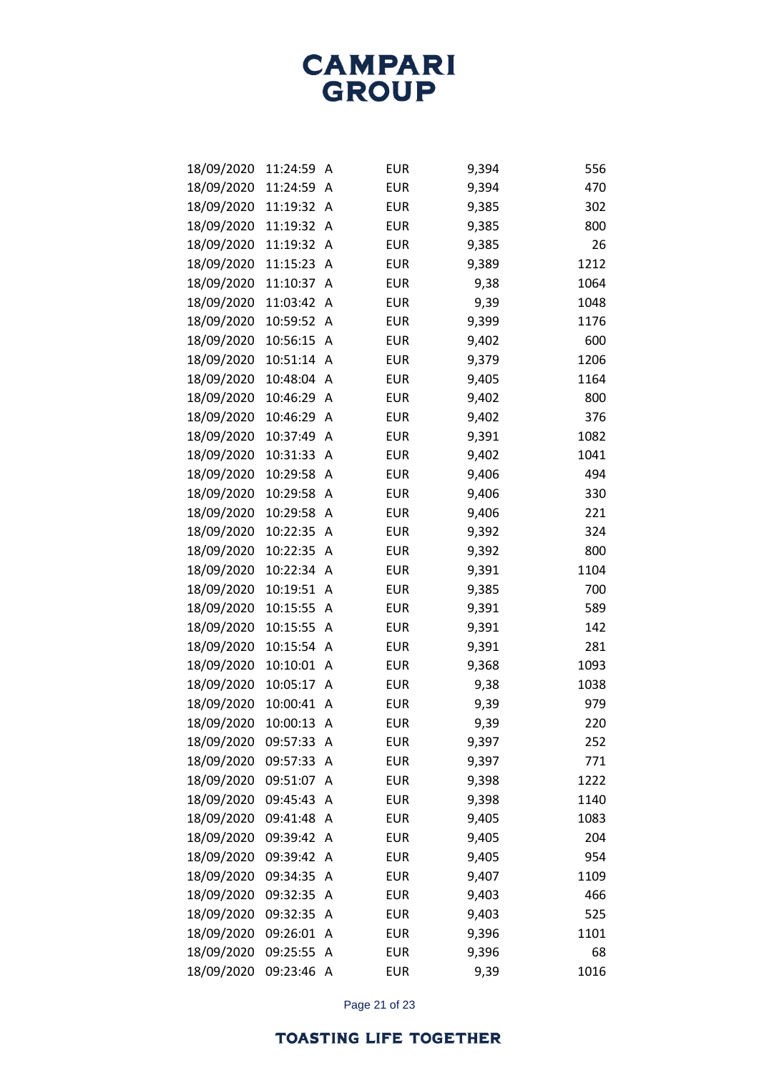| 18/09/2020 | 11:24:59 | Α | <b>EUR</b> | 9,394 | 556  |
|------------|----------|---|------------|-------|------|
| 18/09/2020 | 11:24:59 | A | <b>EUR</b> | 9,394 | 470  |
| 18/09/2020 | 11:19:32 | Α | <b>EUR</b> | 9,385 | 302  |
| 18/09/2020 | 11:19:32 | Α | <b>EUR</b> | 9,385 | 800  |
| 18/09/2020 | 11:19:32 | Α | <b>EUR</b> | 9,385 | 26   |
| 18/09/2020 | 11:15:23 | A | <b>EUR</b> | 9,389 | 1212 |
| 18/09/2020 | 11:10:37 | A | <b>EUR</b> | 9,38  | 1064 |
| 18/09/2020 | 11:03:42 | Α | <b>EUR</b> | 9,39  | 1048 |
| 18/09/2020 | 10:59:52 | A | <b>EUR</b> | 9,399 | 1176 |
| 18/09/2020 | 10:56:15 | A | <b>EUR</b> | 9,402 | 600  |
| 18/09/2020 | 10:51:14 | Α | <b>EUR</b> | 9,379 | 1206 |
| 18/09/2020 | 10:48:04 | Α | <b>EUR</b> | 9,405 | 1164 |
| 18/09/2020 | 10:46:29 | А | <b>EUR</b> | 9,402 | 800  |
| 18/09/2020 | 10:46:29 | A | <b>EUR</b> | 9,402 | 376  |
| 18/09/2020 | 10:37:49 | A | <b>EUR</b> | 9,391 | 1082 |
| 18/09/2020 | 10:31:33 | Α | <b>EUR</b> | 9,402 | 1041 |
| 18/09/2020 | 10:29:58 | A | <b>EUR</b> | 9,406 | 494  |
| 18/09/2020 | 10:29:58 | Α | <b>EUR</b> | 9,406 | 330  |
| 18/09/2020 | 10:29:58 | Α | <b>EUR</b> | 9,406 | 221  |
| 18/09/2020 | 10:22:35 | Α | <b>EUR</b> | 9,392 | 324  |
| 18/09/2020 | 10:22:35 | A | <b>EUR</b> | 9,392 | 800  |
| 18/09/2020 | 10:22:34 | A | <b>EUR</b> | 9,391 | 1104 |
| 18/09/2020 | 10:19:51 | Α | <b>EUR</b> | 9,385 | 700  |
| 18/09/2020 | 10:15:55 | Α | <b>EUR</b> | 9,391 | 589  |
| 18/09/2020 | 10:15:55 | A | <b>EUR</b> | 9,391 | 142  |
| 18/09/2020 | 10:15:54 | Α | <b>EUR</b> | 9,391 | 281  |
| 18/09/2020 | 10:10:01 | Α | <b>EUR</b> | 9,368 | 1093 |
| 18/09/2020 | 10:05:17 | Α | <b>EUR</b> | 9,38  | 1038 |
| 18/09/2020 | 10:00:41 | А | <b>EUR</b> | 9,39  | 979  |
| 18/09/2020 | 10:00:13 | Α | <b>EUR</b> | 9,39  | 220  |
| 18/09/2020 | 09:57:33 | A | <b>EUR</b> | 9,397 | 252  |
| 18/09/2020 | 09:57:33 | Α | <b>EUR</b> | 9,397 | 771  |
| 18/09/2020 | 09:51:07 | Α | <b>EUR</b> | 9,398 | 1222 |
| 18/09/2020 | 09:45:43 | Α | <b>EUR</b> | 9,398 | 1140 |
| 18/09/2020 | 09:41:48 | A | <b>EUR</b> | 9,405 | 1083 |
| 18/09/2020 | 09:39:42 | Α | <b>EUR</b> | 9,405 | 204  |
| 18/09/2020 | 09:39:42 | A | <b>EUR</b> | 9,405 | 954  |
| 18/09/2020 | 09:34:35 | Α | <b>EUR</b> | 9,407 | 1109 |
| 18/09/2020 | 09:32:35 | Α | <b>EUR</b> | 9,403 | 466  |
| 18/09/2020 | 09:32:35 | Α | <b>EUR</b> | 9,403 | 525  |
| 18/09/2020 | 09:26:01 | Α | <b>EUR</b> | 9,396 | 1101 |
| 18/09/2020 | 09:25:55 | Α | <b>EUR</b> | 9,396 | 68   |
| 18/09/2020 | 09:23:46 | Α | <b>EUR</b> | 9,39  | 1016 |

Page 21 of 23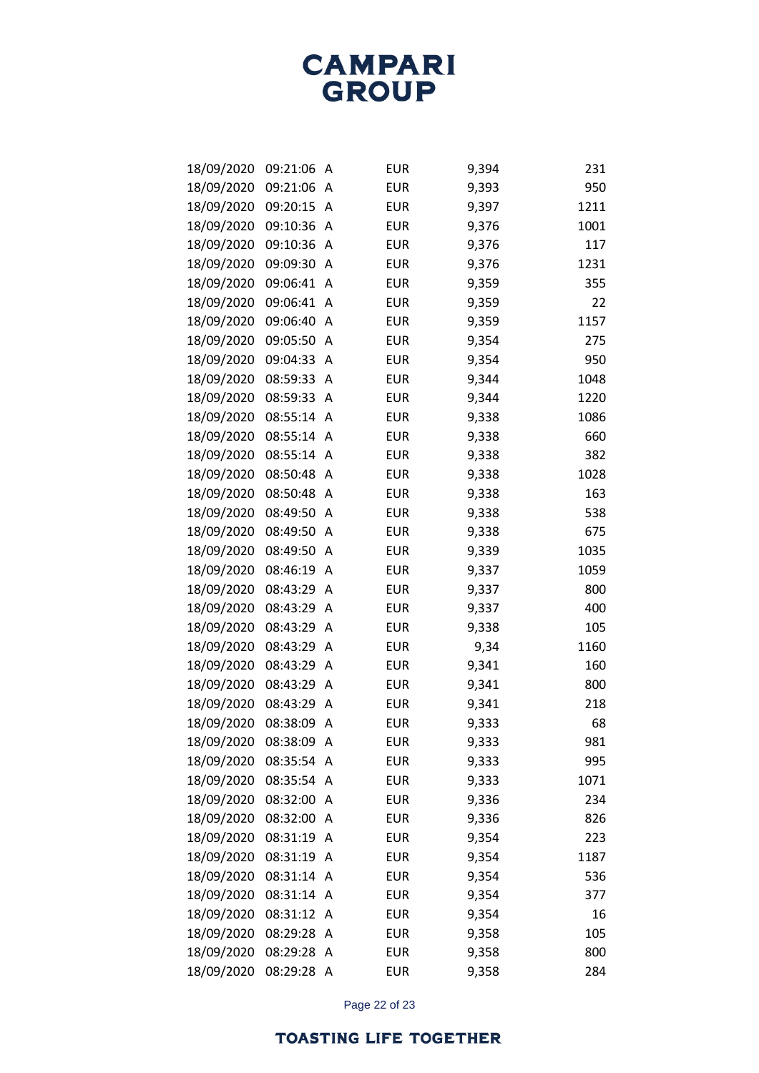| 18/09/2020 | 09:21:06 | Α | <b>EUR</b> | 9,394 | 231  |
|------------|----------|---|------------|-------|------|
| 18/09/2020 | 09:21:06 | A | <b>EUR</b> | 9,393 | 950  |
| 18/09/2020 | 09:20:15 | Α | <b>EUR</b> | 9,397 | 1211 |
| 18/09/2020 | 09:10:36 | Α | <b>EUR</b> | 9,376 | 1001 |
| 18/09/2020 | 09:10:36 | Α | <b>EUR</b> | 9,376 | 117  |
| 18/09/2020 | 09:09:30 | A | <b>EUR</b> | 9,376 | 1231 |
| 18/09/2020 | 09:06:41 | Α | <b>EUR</b> | 9,359 | 355  |
| 18/09/2020 | 09:06:41 | Α | <b>EUR</b> | 9,359 | 22   |
| 18/09/2020 | 09:06:40 | Α | <b>EUR</b> | 9,359 | 1157 |
| 18/09/2020 | 09:05:50 | Α | <b>EUR</b> | 9,354 | 275  |
| 18/09/2020 | 09:04:33 | Α | <b>EUR</b> | 9,354 | 950  |
| 18/09/2020 | 08:59:33 | Α | <b>EUR</b> | 9,344 | 1048 |
| 18/09/2020 | 08:59:33 | Α | <b>EUR</b> | 9,344 | 1220 |
| 18/09/2020 | 08:55:14 | A | <b>EUR</b> | 9,338 | 1086 |
| 18/09/2020 | 08:55:14 | Α | <b>EUR</b> | 9,338 | 660  |
| 18/09/2020 | 08:55:14 | Α | <b>EUR</b> | 9,338 | 382  |
| 18/09/2020 | 08:50:48 | A | <b>EUR</b> | 9,338 | 1028 |
| 18/09/2020 | 08:50:48 | Α | <b>EUR</b> | 9,338 | 163  |
| 18/09/2020 | 08:49:50 | Α | <b>EUR</b> | 9,338 | 538  |
| 18/09/2020 | 08:49:50 | Α | <b>EUR</b> | 9,338 | 675  |
| 18/09/2020 | 08:49:50 | Α | <b>EUR</b> | 9,339 | 1035 |
| 18/09/2020 | 08:46:19 | Α | <b>EUR</b> | 9,337 | 1059 |
| 18/09/2020 | 08:43:29 | Α | <b>EUR</b> | 9,337 | 800  |
| 18/09/2020 | 08:43:29 | Α | <b>EUR</b> | 9,337 | 400  |
| 18/09/2020 | 08:43:29 | Α | <b>EUR</b> | 9,338 | 105  |
| 18/09/2020 | 08:43:29 | Α | <b>EUR</b> | 9,34  | 1160 |
| 18/09/2020 | 08:43:29 | Α | <b>EUR</b> | 9,341 | 160  |
| 18/09/2020 | 08:43:29 | Α | <b>EUR</b> | 9,341 | 800  |
| 18/09/2020 | 08:43:29 | A | <b>EUR</b> | 9,341 | 218  |
| 18/09/2020 | 08:38:09 | Α | <b>EUR</b> | 9,333 | 68   |
| 18/09/2020 | 08:38:09 | A | <b>EUR</b> | 9,333 | 981  |
| 18/09/2020 | 08:35:54 | A | <b>EUR</b> | 9,333 | 995  |
| 18/09/2020 | 08:35:54 | Α | <b>EUR</b> | 9,333 | 1071 |
| 18/09/2020 | 08:32:00 | Α | <b>EUR</b> | 9,336 | 234  |
| 18/09/2020 | 08:32:00 | A | <b>EUR</b> | 9,336 | 826  |
| 18/09/2020 | 08:31:19 | A | <b>EUR</b> | 9,354 | 223  |
| 18/09/2020 | 08:31:19 | A | <b>EUR</b> | 9,354 | 1187 |
| 18/09/2020 | 08:31:14 | A | <b>EUR</b> | 9,354 | 536  |
| 18/09/2020 | 08:31:14 | A | <b>EUR</b> | 9,354 | 377  |
| 18/09/2020 | 08:31:12 | Α | <b>EUR</b> | 9,354 | 16   |
| 18/09/2020 | 08:29:28 | Α | <b>EUR</b> | 9,358 | 105  |
| 18/09/2020 | 08:29:28 | Α | <b>EUR</b> | 9,358 | 800  |
| 18/09/2020 | 08:29:28 | Α | <b>EUR</b> | 9,358 | 284  |

Page 22 of 23